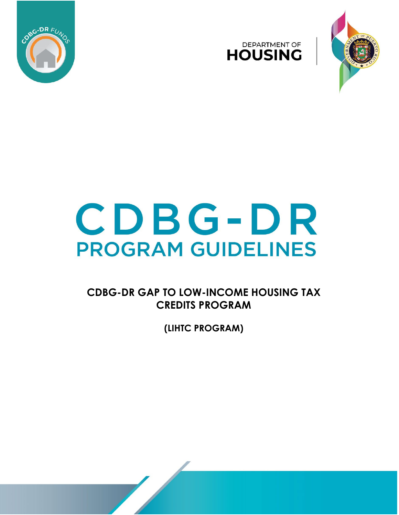





# CDBG-DR **PROGRAM GUIDELINES**

**CDBG-DR GAP TO LOW-INCOME HOUSING TAX CREDITS PROGRAM**

**(LIHTC PROGRAM)**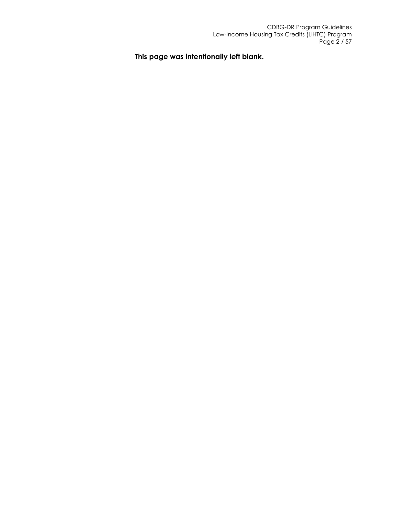**This page was intentionally left blank.**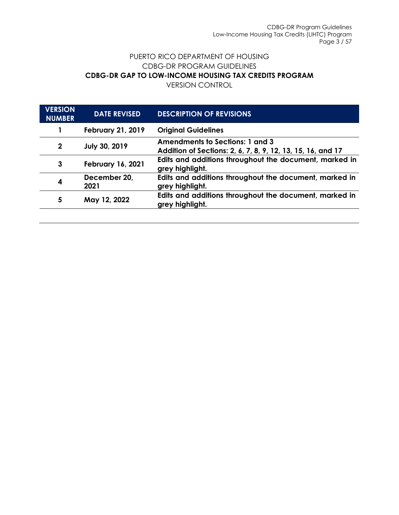#### PUERTO RICO DEPARTMENT OF HOUSING CDBG-DR PROGRAM GUIDELINES **CDBG-DR GAP TO LOW-INCOME HOUSING TAX CREDITS PROGRAM** VERSION CONTROL

| <b>VERSION</b><br><b>NUMBER</b> | <b>DATE REVISED</b>      | <b>DESCRIPTION OF REVISIONS</b>                                                                       |
|---------------------------------|--------------------------|-------------------------------------------------------------------------------------------------------|
|                                 | <b>February 21, 2019</b> | <b>Original Guidelines</b>                                                                            |
| $\mathbf 2$                     | <b>July 30, 2019</b>     | <b>Amendments to Sections: 1 and 3</b><br>Addition of Sections: 2, 6, 7, 8, 9, 12, 13, 15, 16, and 17 |
| 3                               | <b>February 16, 2021</b> | Edits and additions throughout the document, marked in<br>grey highlight.                             |
| 4                               | December 20,<br>2021     | Edits and additions throughout the document, marked in<br>grey highlight.                             |
| 5                               | May 12, 2022             | Edits and additions throughout the document, marked in<br>grey highlight.                             |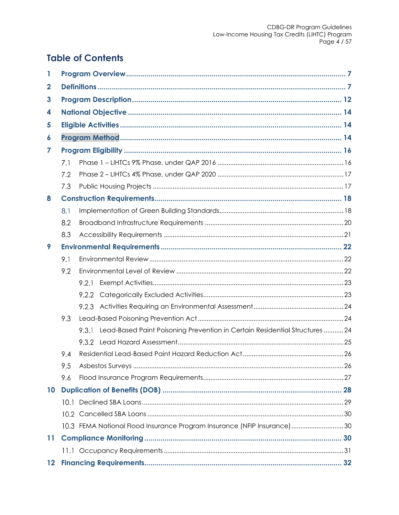# **Table of Contents**

| 1            |      |                                                                                     |  |
|--------------|------|-------------------------------------------------------------------------------------|--|
| $\mathbf{2}$ |      |                                                                                     |  |
| 3            |      |                                                                                     |  |
| 4            |      |                                                                                     |  |
| 5            |      |                                                                                     |  |
| 6            |      |                                                                                     |  |
| 7            |      |                                                                                     |  |
|              | 7.1  |                                                                                     |  |
|              | 7.2  |                                                                                     |  |
|              | 7.3  |                                                                                     |  |
| 8            |      |                                                                                     |  |
|              | 8.1  |                                                                                     |  |
|              | 8.2  |                                                                                     |  |
|              | 8.3  |                                                                                     |  |
| 9            |      |                                                                                     |  |
|              | 9.1  |                                                                                     |  |
|              | 9.2  |                                                                                     |  |
|              |      | 9.2.1                                                                               |  |
|              |      | 9.2.2                                                                               |  |
|              |      |                                                                                     |  |
|              | 9.3  |                                                                                     |  |
|              |      | Lead-Based Paint Poisoning Prevention in Certain Residential Structures 24<br>9.3.1 |  |
|              |      | 9.3.2                                                                               |  |
|              | 9.4  |                                                                                     |  |
|              | 9.5  |                                                                                     |  |
|              | 9.6  |                                                                                     |  |
| 10           |      |                                                                                     |  |
|              | 10.1 |                                                                                     |  |
|              |      |                                                                                     |  |
|              |      | 10.3 FEMA National Flood Insurance Program Insurance (NFIP Insurance)30             |  |
| 11           |      |                                                                                     |  |
|              |      |                                                                                     |  |
| 12           |      |                                                                                     |  |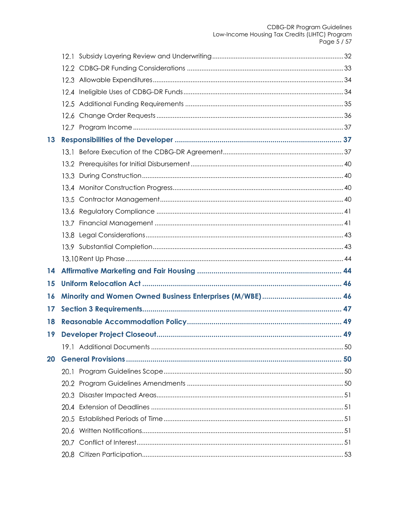# CDBG-DR Program Guidelines<br>Low-Income Housing Tax Credits (LIHTC) Program<br>Page 5 / 57

| 13 |      |  |
|----|------|--|
|    |      |  |
|    |      |  |
|    |      |  |
|    |      |  |
|    |      |  |
|    |      |  |
|    |      |  |
|    |      |  |
|    |      |  |
|    |      |  |
| 14 |      |  |
| 15 |      |  |
| 16 |      |  |
| 17 |      |  |
| 18 |      |  |
| 19 |      |  |
|    |      |  |
| 20 |      |  |
|    |      |  |
|    |      |  |
|    | 20.3 |  |
|    |      |  |
|    |      |  |
|    |      |  |
|    |      |  |
|    |      |  |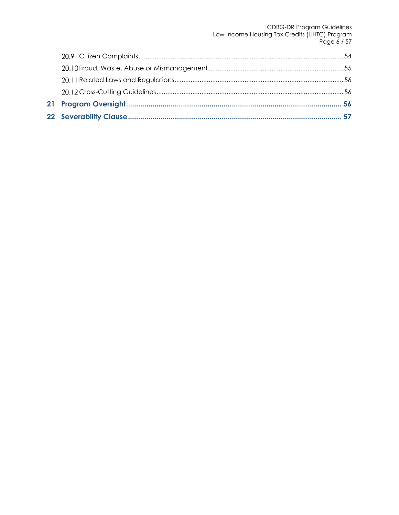# CDBG-DR Program Guidelines<br>Low-Income Housing Tax Credits (LIHTC) Program<br>Page 6 / 57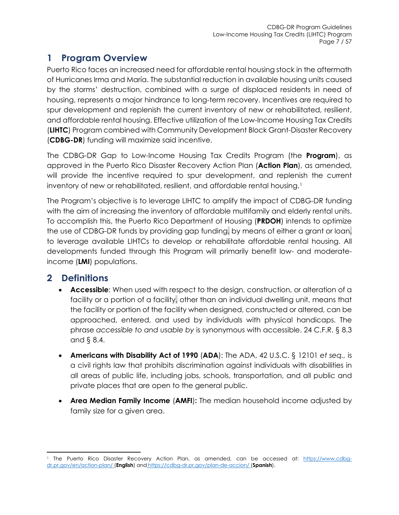# <span id="page-6-0"></span>**1 Program Overview**

Puerto Rico faces an increased need for affordable rental housing stock in the aftermath of Hurricanes Irma and María. The substantial reduction in available housing units caused by the storms' destruction, combined with a surge of displaced residents in need of housing, represents a major hindrance to long-term recovery. Incentives are required to spur development and replenish the current inventory of new or rehabilitated, resilient, and affordable rental housing. Effective utilization of the Low-Income Housing Tax Credits (**LIHTC**) Program combined with Community Development Block Grant-Disaster Recovery (**CDBG-DR**) funding will maximize said incentive.

The CDBG-DR Gap to Low-Income Housing Tax Credits Program (the **Program**), as approved in the Puerto Rico Disaster Recovery Action Plan (**Action Plan**), as amended, will provide the incentive required to spur development, and replenish the current inventory of new or rehabilitated, resilient, and affordable rental housing.<sup>[1](#page-6-2)</sup>

The Program's objective is to leverage LIHTC to amplify the impact of CDBG-DR funding with the aim of increasing the inventory of affordable multifamily and elderly rental units. To accomplish this, the Puerto Rico Department of Housing (**PRDOH**) intends to optimize the use of CDBG-DR funds by providing gap funding, by means of either a grant or loan, to leverage available LIHTCs to develop or rehabilitate affordable rental housing. All developments funded through this Program will primarily benefit low- and moderateincome (**LMI**) populations.

# <span id="page-6-1"></span>**2 Definitions**

- **Accessible**: When used with respect to the design, construction, or alteration of a facility or a portion of a facility, other than an individual dwelling unit, means that the facility or portion of the facility when designed, constructed or altered, can be approached, entered, and used by individuals with physical handicaps. The phrase *accessible to and usable by* is synonymous with accessible. 24 C.F.R. § 8.3 and § 8.4.
- **Americans with Disability Act of 1990** (**ADA**): The ADA, 42 U.S.C. § 12101 *et seq.,* is a civil rights law that prohibits discrimination against individuals with disabilities in all areas of public life, including jobs, schools, transportation, and all public and private places that are open to the general public.
- **Area Median Family Income** (**AMFI**)**:** The median household income adjusted by family size for a given area.

<span id="page-6-2"></span><sup>1</sup> The Puerto Rico Disaster Recovery Action Plan, as amended, can be accessed at: [https://www.cdbg](https://www.cdbg-dr.pr.gov/en/action-plan/)[dr.pr.gov/en/action-plan/](https://www.cdbg-dr.pr.gov/en/action-plan/) (**English**) and <https://cdbg-dr.pr.gov/plan-de-accion/> (**Spanish**).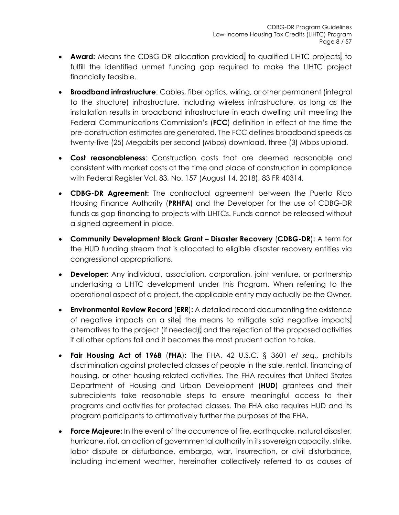- **Award:** Means the CDBG-DR allocation provided, to qualified LIHTC projects, to fulfill the identified unmet funding gap required to make the LIHTC project financially feasible.
- **Broadband infrastructure**: Cables, fiber optics, wiring, or other permanent (integral to the structure) infrastructure, including wireless infrastructure, as long as the installation results in broadband infrastructure in each dwelling unit meeting the Federal Communications Commission's (**FCC**) definition in effect at the time the pre-construction estimates are generated. The FCC defines broadband speeds as twenty-five (25) Megabits per second (Mbps) download, three (3) Mbps upload.
- **Cost reasonableness**: Construction costs that are deemed reasonable and consistent with market costs at the time and place of construction in compliance with Federal Register Vol. 83, No. 157 (August 14, 2018), 83 FR 40314.
- **CDBG-DR Agreement:** The contractual agreement between the Puerto Rico Housing Finance Authority (**PRHFA**) and the Developer for the use of CDBG-DR funds as gap financing to projects with LIHTCs. Funds cannot be released without a signed agreement in place.
- **Community Development Block Grant Disaster Recovery** (**CDBG-DR**)**:** A term for the HUD funding stream that is allocated to eligible disaster recovery entities via congressional appropriations.
- **Developer:** Any individual, association, corporation, joint venture, or partnership undertaking a LIHTC development under this Program. When referring to the operational aspect of a project, the applicable entity may actually be the Owner.
- **Environmental Review Record** (**ERR**)**:** A detailed record documenting the existence of negative impacts on a site; the means to mitigate said negative impacts; alternatives to the project (if needed); and the rejection of the proposed activities if all other options fail and it becomes the most prudent action to take.
- **Fair Housing Act of 1968** (**FHA**)**:** The FHA, 42 U.S.C. § 3601 *et seq.,* prohibits discrimination against protected classes of people in the sale, rental, financing of housing, or other housing-related activities. The FHA requires that United States Department of Housing and Urban Development (**HUD**) grantees and their subrecipients take reasonable steps to ensure meaningful access to their programs and activities for protected classes. The FHA also requires HUD and its program participants to affirmatively further the purposes of the FHA.
- **Force Majeure:** In the event of the occurrence of fire, earthquake, natural disaster, hurricane, riot, an action of governmental authority in its sovereign capacity, strike, labor dispute or disturbance, embargo, war, insurrection, or civil disturbance, including inclement weather, hereinafter collectively referred to as causes of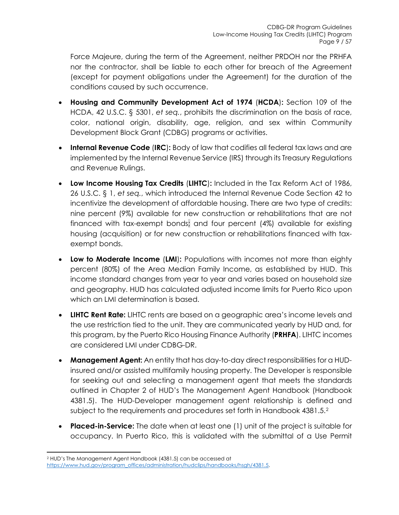Force Majeure, during the term of the Agreement, neither PRDOH nor the PRHFA nor the contractor, shall be liable to each other for breach of the Agreement (except for payment obligations under the Agreement) for the duration of the conditions caused by such occurrence.

- **Housing and Community Development Act of 1974** (**HCDA**)**:** Section 109 of the HCDA, 42 U.S.C. § 5301, *et seq.*, prohibits the discrimination on the basis of race, color, national origin, disability, age, religion, and sex within Community Development Block Grant (CDBG) programs or activities.
- **Internal Revenue Code** (**IRC**)**:** Body of law that codifies all federal tax laws and are implemented by the Internal Revenue Service (IRS) through its Treasury Regulations and Revenue Rulings.
- **Low Income Housing Tax Credits** (**LIHTC**)**:** Included in the Tax Reform Act of 1986, 26 U.S.C. § 1, *et seq.*, which introduced the Internal Revenue Code Section 42 to incentivize the development of affordable housing. There are two type of credits: nine percent (9%) available for new construction or rehabilitations that are not financed with tax-exempt bonds; and four percent (4%) available for existing housing (acquisition) or for new construction or rehabilitations financed with taxexempt bonds.
- **Low to Moderate Income** (**LMI**)**:** Populations with incomes not more than eighty percent (80%) of the Area Median Family Income, as established by HUD. This income standard changes from year to year and varies based on household size and geography. HUD has calculated adjusted income limits for Puerto Rico upon which an I MI determination is based.
- **LIHTC Rent Rate:** LIHTC rents are based on a geographic area's income levels and the use restriction tied to the unit. They are communicated yearly by HUD and, for this program, by the Puerto Rico Housing Finance Authority (**PRHFA**). LIHTC incomes are considered LMI under CDBG-DR.
- **Management Agent:** An entity that has day-to-day direct responsibilities for a HUDinsured and/or assisted multifamily housing property. The Developer is responsible for seeking out and selecting a management agent that meets the standards outlined in Chapter 2 of HUD's The Management Agent Handbook (Handbook 4381.5). The HUD-Developer management agent relationship is defined and subject to the requirements and procedures set forth in Handbook 4381.5.[2](#page-8-0)
- **Placed-in-Service:** The date when at least one (1) unit of the project is suitable for occupancy. In Puerto Rico, this is validated with the submittal of a Use Permit

<span id="page-8-0"></span><sup>2</sup> HUD's The Management Agent Handbook (4381.5) can be accessed at [https://www.hud.gov/program\\_offices/administration/hudclips/handbooks/hsgh/4381.5.](https://www.hud.gov/program_offices/administration/hudclips/handbooks/hsgh/4381.5)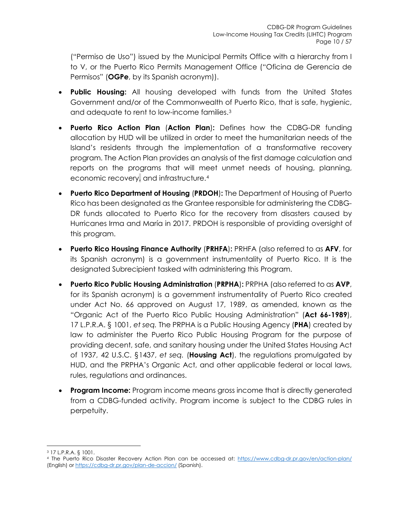("Permiso de Uso") issued by the Municipal Permits Office with a hierarchy from I to V, or the Puerto Rico Permits Management Office ("Oficina de Gerencia de Permisos" (**OGPe**, by its Spanish acronym)).

- **Public Housing:** All housing developed with funds from the United States Government and/or of the Commonwealth of Puerto Rico, that is safe, hygienic, and adequate to rent to low-income families.[3](#page-9-0)
- **Puerto Rico Action Plan** (**Action Plan**)**:** Defines how the CDBG-DR funding allocation by HUD will be utilized in order to meet the humanitarian needs of the Island's residents through the implementation of a transformative recovery program. The Action Plan provides an analysis of the first damage calculation and reports on the programs that will meet unmet needs of housing, planning, economic recovery, and infrastructure.[4](#page-9-1)
- **Puerto Rico Department of Housing** (**PRDOH**)**:** The Department of Housing of Puerto Rico has been designated as the Grantee responsible for administering the CDBG-DR funds allocated to Puerto Rico for the recovery from disasters caused by Hurricanes Irma and María in 2017. PRDOH is responsible of providing oversight of this program.
- **Puerto Rico Housing Finance Authority** (**PRHFA**)**:** PRHFA (also referred to as **AFV**, for its Spanish acronym) is a government instrumentality of Puerto Rico. It is the designated Subrecipient tasked with administering this Program.
- **Puerto Rico Public Housing Administration** (**PRPHA**)**:** PRPHA (also referred to as **AVP**, for its Spanish acronym) is a government instrumentality of Puerto Rico created under Act No. 66 approved on August 17, 1989, as amended, known as the "Organic Act of the Puerto Rico Public Housing Administration" (**Act 66-1989**), 17 L.P.R.A. § 1001, *et seq.* The PRPHA is a Public Housing Agency (**PHA**) created by law to administer the Puerto Rico Public Housing Program for the purpose of providing decent, safe, and sanitary housing under the United States Housing Act of 1937, 42 U.S.C. §1437, *et seq.* (**Housing Act**), the regulations promulgated by HUD, and the PRPHA's Organic Act, and other applicable federal or local laws, rules, regulations and ordinances.
- **Program Income:** Program income means gross income that is directly generated from a CDBG-funded activity. Program income is subject to the CDBG rules in perpetuity.

<span id="page-9-0"></span><sup>3</sup> 17 L.P.R.A. § 1001.

<span id="page-9-1"></span><sup>4</sup> The Puerto Rico Disaster Recovery Action Plan can be accessed at:<https://www.cdbg-dr.pr.gov/en/action-plan/> (English) o[r https://cdbg-dr.pr.gov/plan-de-accion/](https://cdbg-dr.pr.gov/plan-de-accion/) (Spanish).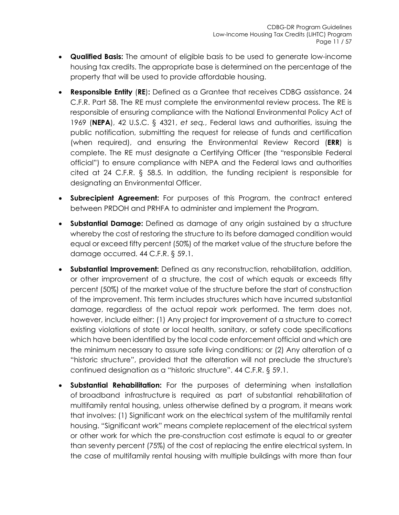- **Qualified Basis:** The amount of eligible basis to be used to generate low-income housing tax credits. The appropriate base is determined on the percentage of the property that will be used to provide affordable housing.
- **Responsible Entity** (**RE**)**:** Defined as a Grantee that receives CDBG assistance. 24 C.F.R. Part 58. The RE must complete the environmental review process. The RE is responsible of ensuring compliance with the National Environmental Policy Act of 1969 (**NEPA**), 42 U.S.C. § 4321, *et seq.*, Federal laws and authorities, issuing the public notification, submitting the request for release of funds and certification (when required), and ensuring the Environmental Review Record (**ERR**) is complete. The RE must designate a Certifying Officer (the "responsible Federal official") to ensure compliance with NEPA and the Federal laws and authorities cited at 24 C.F.R. § 58.5. In addition, the funding recipient is responsible for designating an Environmental Officer.
- **Subrecipient Agreement:** For purposes of this Program, the contract entered between PRDOH and PRHFA to administer and implement the Program.
- **Substantial Damage:** Defined as damage of any origin sustained by a structure whereby the cost of restoring the structure to its before damaged condition would equal or exceed fifty percent (50%) of the market value of the structure before the damage occurred. 44 C.F.R. § 59.1.
- **Substantial Improvement:** Defined as any reconstruction, rehabilitation, addition, or other improvement of a structure, the cost of which equals or exceeds fifty percent (50%) of the market value of the structure before the start of construction of the improvement. This term includes structures which have incurred substantial damage, regardless of the actual repair work performed. The term does not, however, include either: (1) Any project for improvement of a structure to correct existing violations of state or local health, sanitary, or safety code specifications which have been identified by the local code enforcement official and which are the minimum necessary to assure safe living conditions; or (2) Any alteration of a "historic structure", provided that the alteration will not preclude the structure's continued designation as a "historic structure". 44 C.F.R. § 59.1.
- **Substantial Rehabilitation:** For the purposes of determining when installation of [broadband infrastructure](https://www.law.cornell.edu/definitions/index.php?width=840&height=800&iframe=true&def_id=994daaa2ea60d6c4779c220bfdeb4753&term_occur=999&term_src=Title:24:Subtitle:A:Part:5:Subpart:A:5.100) is required as part of [substantial rehabilitation](https://www.law.cornell.edu/definitions/index.php?width=840&height=800&iframe=true&def_id=477bf9a217e4b3c52ff062ea146048c2&term_occur=999&term_src=Title:24:Subtitle:A:Part:5:Subpart:A:5.100) of multifamily rental housing, unless otherwise defined by a program, it means work that involves: (1) Significant work on the electrical system of the multifamily rental housing. "Significant work" means complete replacement of the electrical system or other work for which the pre-construction cost estimate is equal to or greater than seventy percent (75%) of the cost of replacing the entire electrical system. In the case of multifamily rental housing with multiple buildings with more than four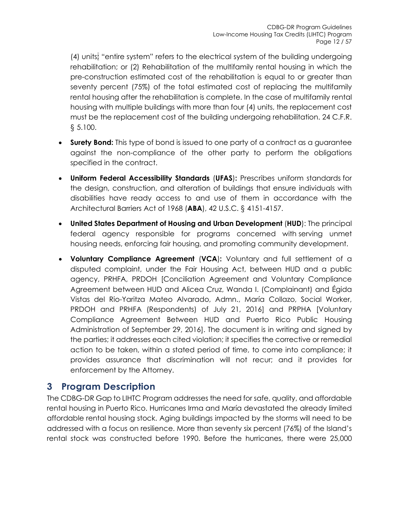(4) units; "entire system" refers to the electrical system of the building undergoing rehabilitation; or (2) Rehabilitation of the multifamily rental housing in which the pre-construction estimated cost of the rehabilitation is equal to or greater than seventy percent (75%) of the total estimated cost of replacing the multifamily rental housing after the rehabilitation is complete. In the case of multifamily rental housing with multiple buildings with more than four (4) units, the replacement cost must be the replacement cost of the building undergoing rehabilitation. 24 C.F.R. § 5.100.

- **Surety Bond:** This type of bond is issued to one party of a contract as a guarantee against the non-compliance of the other party to perform the obligations specified in the contract.
- **Uniform Federal Accessibility Standards** (**UFAS**)**:** Prescribes uniform standards for the design, construction, and alteration of buildings that ensure individuals with disabilities have ready access to and use of them in accordance with the Architectural Barriers Act of 1968 (**ABA**), 42 U.S.C. § 4151-4157.
- **United States Department of Housing and Urban Development** (**HUD**): The principal federal agency responsible for programs concerned with serving unmet housing needs, enforcing fair housing, and promoting community development.
- **Voluntary Compliance Agreement** (**VCA**)**:** Voluntary and full settlement of a disputed complaint, under the Fair Housing Act, between HUD and a public agency, PRHFA, PRDOH [Conciliation Agreement and Voluntary Compliance Agreement between HUD and Alicea Cruz, Wanda I. (Complainant) and Égida Vistas del Rio-Yaritza Mateo Alvarado, Admn., María Collazo, Social Worker, PRDOH and PRHFA (Respondents) of July 21, 2016] and PRPHA [Voluntary Compliance Agreement Between HUD and Puerto Rico Public Housing Administration of September 29, 2016]. The document is in writing and signed by the parties; it addresses each cited violation; it specifies the corrective or remedial action to be taken, within a stated period of time, to come into compliance; it provides assurance that discrimination will not recur; and it provides for enforcement by the Attorney.

# <span id="page-11-0"></span>**3 Program Description**

The CDBG-DR Gap to LIHTC Program addresses the need for safe, quality, and affordable rental housing in Puerto Rico. Hurricanes Irma and María devastated the already limited affordable rental housing stock. Aging buildings impacted by the storms will need to be addressed with a focus on resilience. More than seventy six percent (76%) of the Island's rental stock was constructed before 1990. Before the hurricanes, there were 25,000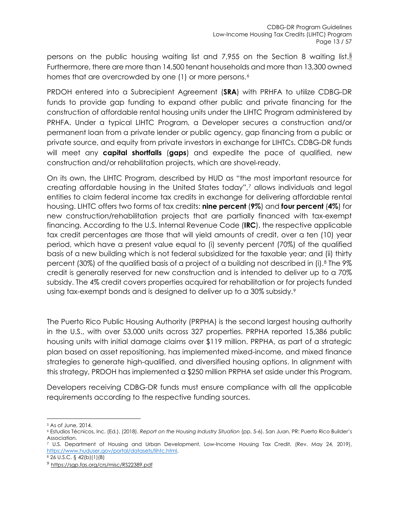persons on the public housing waiting list and 7,955 on the Section 8 waiting list.[5](#page-12-0) Furthermore, there are more than 14,500 tenant households and more than 13,300 owned homes that are overcrowded by one (1) or more persons.<sup>[6](#page-12-1)</sup>

PRDOH entered into a Subrecipient Agreement (**SRA**) with PRHFA to utilize CDBG-DR funds to provide gap funding to expand other public and private financing for the construction of affordable rental housing units under the LIHTC Program administered by PRHFA. Under a typical LIHTC Program, a Developer secures a construction and/or permanent loan from a private lender or public agency, gap financing from a public or private source, and equity from private investors in exchange for LIHTCs. CDBG-DR funds will meet any **capital shortfalls** (**gaps**) and expedite the pace of qualified, new construction and/or rehabilitation projects, which are shovel-ready.

On its own, the LIHTC Program, described by HUD as "the most important resource for creating affordable housing in the United States today",[7](#page-12-2) allows individuals and legal entities to claim federal income tax credits in exchange for delivering affordable rental housing. LIHTC offers two forms of tax credits: **nine percent** (**9%**) and **four percent** (**4%**) for new construction/rehabilitation projects that are partially financed with tax-exempt financing. According to the U.S. Internal Revenue Code (**IRC**), the respective applicable tax credit percentages are those that will yield amounts of credit, over a ten (10) year period, which have a present value equal to (i) seventy percent (70%) of the qualified basis of a new building which is not federal subsidized for the taxable year; and (ii) thirty percent (30%) of the qualified basis of a project of a building not described in (i).<sup>[8](#page-12-3)</sup> The 9% credit is generally reserved for new construction and is intended to deliver up to a 70% subsidy. The 4% credit covers properties acquired for rehabilitation or for projects funded using tax-exempt bonds and is designed to deliver up to a 30% subsidy.<sup>[9](#page-12-4)</sup>

The Puerto Rico Public Housing Authority (PRPHA) is the second largest housing authority in the U.S., with over 53,000 units across 327 properties. PRPHA reported 15,386 public housing units with initial damage claims over \$119 million. PRPHA, as part of a strategic plan based on asset repositioning, has implemented mixed-income, and mixed finance strategies to generate high-qualified, and diversified housing options. In alignment with this strategy, PRDOH has implemented a \$250 million PRPHA set aside under this Program.

Developers receiving CDBG-DR funds must ensure compliance with all the applicable requirements according to the respective funding sources.

<span id="page-12-0"></span><sup>5</sup> As of June, 2014.

<span id="page-12-1"></span><sup>6</sup> Estudios Técnicos, Inc. (Ed.). (2018). *Report on the Housing Industry Situation* (pp. 5-6). San Juan, PR: Puerto Rico Builder's Association.

<span id="page-12-2"></span><sup>7</sup> U.S. Department of Housing and Urban Development, Low-Income Housing Tax Credit, (Rev. May 24, 2019), https://www.huduser.gov/portal/datasets/lihtc.html.<br>8 26 U.S.C. § 42(b)(1)(B)

<span id="page-12-3"></span>

<span id="page-12-4"></span><sup>9</sup> <https://sgp.fas.org/crs/misc/RS22389.pdf>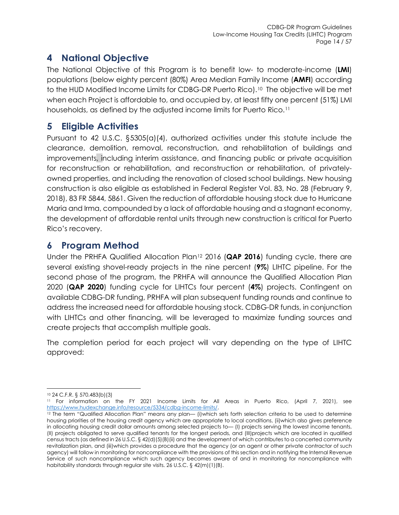# <span id="page-13-0"></span>**4 National Objective**

The National Objective of this Program is to benefit low- to moderate-income (**LMI**) populations (below eighty percent (80%) Area Median Family Income (**AMFI**) according to the HUD Modified Income Limits for CDBG-DR Puerto Rico).[10](#page-13-3) The objective will be met when each Project is affordable to, and occupied by, at least fifty one percent (51%) LMI households, as defined by the adjusted income limits for Puerto Rico.[11](#page-13-4)

# <span id="page-13-1"></span>**5 Eligible Activities**

Pursuant to 42 U.S.C. §5305(a)(4), authorized activities under this statute include the clearance, demolition, removal, reconstruction, and rehabilitation of buildings and improvements, including interim assistance, and financing public or private acquisition for reconstruction or rehabilitation, and reconstruction or rehabilitation, of privatelyowned properties, and including the renovation of closed school buildings. New housing construction is also eligible as established in Federal Register Vol. 83, No. 28 (February 9, 2018), 83 FR 5844, 5861. Given the reduction of affordable housing stock due to Hurricane Maria and Irma, compounded by a lack of affordable housing and a stagnant economy, the development of affordable rental units through new construction is critical for Puerto Rico's recovery.

# <span id="page-13-2"></span>**6 Program Method**

Under the PRHFA Qualified Allocation Plan[12](#page-13-5) 2016 (**QAP 2016**) funding cycle, there are several existing shovel-ready projects in the nine percent (**9%**) LIHTC pipeline. For the second phase of the program, the PRHFA will announce the Qualified Allocation Plan 2020 (**QAP 2020**) funding cycle for LIHTCs four percent (**4%**) projects. Contingent on available CDBG-DR funding, PRHFA will plan subsequent funding rounds and continue to address the increased need for affordable housing stock. CDBG-DR funds, in conjunction with LIHTCs and other financing, will be leveraged to maximize funding sources and create projects that accomplish multiple goals.

The completion period for each project will vary depending on the type of LIHTC approved:

<span id="page-13-3"></span><sup>10</sup> 24 C.F.R. § 570.483(b)(3)

<span id="page-13-4"></span><sup>&</sup>lt;sup>11</sup> For information on the FY 2021 Income Limits for All Areas in Puerto Rico, (April 7, 2021), see https://www.hudexchange.info/resource/5334/cdbg-income-limits/.

<span id="page-13-5"></span><sup>&</sup>lt;sup>12</sup> The term "Qualified Allocation Plan" means any plan— (i)which sets forth selection criteria to be used to determine housing priorities of the housing credit agency which are appropriate to local conditions, (ii)which also gives preference in allocating housing credit dollar amounts among selected projects to— (I) projects serving the lowest income tenants, (II) projects obligated to serve qualified tenants for the longest periods, and (III)projects which are located in qualified census tracts (as defined in 26 U.S.C. § 42(d)(5)(B)(ii) and the development of which contributes to a concerted community revitalization plan, and (iii)which provides a procedure that the agency (or an agent or other private contractor of such agency) will follow in monitoring for noncompliance with the provisions of this section and in notifying the Internal Revenue Service of such noncompliance which such agency becomes aware of and in monitoring for noncompliance with habitability standards through regular site visits. 26 U.S.C. § 42(m)(1)(B).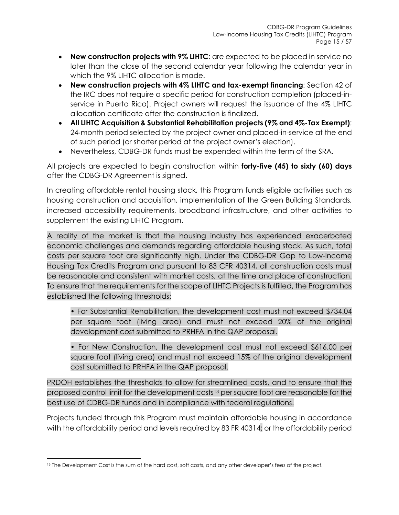- **New construction projects with 9% LIHTC**: are expected to be placed in service no later than the close of the second calendar year following the calendar year in which the 9% LIHTC allocation is made.
- **New construction projects with 4% LIHTC and tax-exempt financing**: Section 42 of the IRC does not require a specific period for construction completion (placed-inservice in Puerto Rico). Project owners will request the issuance of the 4% LIHTC allocation certificate after the construction is finalized.
- **All LIHTC Acquisition & Substantial Rehabilitation projects (9% and 4%-Tax Exempt)**: 24‐month period selected by the project owner and placed-in-service at the end of such period (or shorter period at the project owner's election).
- Nevertheless, CDBG-DR funds must be expended within the term of the SRA.

All projects are expected to begin construction within **forty-five (45) to sixty (60) days** after the CDBG-DR Agreement is signed.

In creating affordable rental housing stock, this Program funds eligible activities such as housing construction and acquisition, implementation of the Green Building Standards, increased accessibility requirements, broadband infrastructure, and other activities to supplement the existing LIHTC Program.

A reality of the market is that the housing industry has experienced exacerbated economic challenges and demands regarding affordable housing stock. As such, total costs per square foot are significantly high. Under the CDBG-DR Gap to Low-Income Housing Tax Credits Program and pursuant to 83 CFR 40314, all construction costs must be reasonable and consistent with market costs, at the time and place of construction. To ensure that the requirements for the scope of LIHTC Projects is fulfilled, the Program has established the following thresholds:

• For Substantial Rehabilitation, the development cost must not exceed \$734.04 per square foot (living area) and must not exceed 20% of the original development cost submitted to PRHFA in the QAP proposal.

• For New Construction, the development cost must not exceed \$616.00 per square foot (living area) and must not exceed 15% of the original development cost submitted to PRHFA in the QAP proposal.

PRDOH establishes the thresholds to allow for streamlined costs, and to ensure that the proposed control limit for the development costs[13](#page-14-0) per square foot are reasonable for the best use of CDBG-DR funds and in compliance with federal regulations.

Projects funded through this Program must maintain affordable housing in accordance with the affordability period and levels required by 83 FR 40314; or the affordability period

<span id="page-14-0"></span><sup>13</sup> The Development Cost is the sum of the hard cost, soft costs, and any other developer's fees of the project.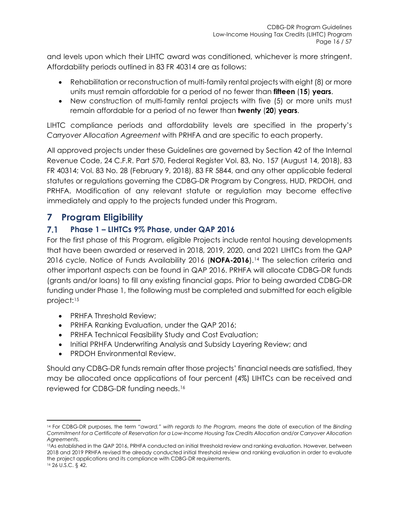and levels upon which their LIHTC award was conditioned, whichever is more stringent. Affordability periods outlined in 83 FR 40314 are as follows:

- Rehabilitation or reconstruction of multi-family rental projects with eight (8) or more units must remain affordable for a period of no fewer than **fifteen** (**15**) **years**.
- New construction of multi-family rental projects with five (5) or more units must remain affordable for a period of no fewer than **twenty** (**20**) **years**.

LIHTC compliance periods and affordability levels are specified in the property's *Carryover Allocation Agreement* with PRHFA and are specific to each property.

All approved projects under these Guidelines are governed by Section 42 of the Internal Revenue Code, 24 C.F.R. Part 570, Federal Register Vol. 83, No. 157 (August 14, 2018), 83 FR 40314; Vol. 83 No. 28 (February 9, 2018), 83 FR 5844, and any other applicable federal statutes or regulations governing the CDBG-DR Program by Congress, HUD, PRDOH, and PRHFA. Modification of any relevant statute or regulation may become effective immediately and apply to the projects funded under this Program.

# <span id="page-15-0"></span>**7 Program Eligibility**

#### <span id="page-15-1"></span> $7.1$ **Phase 1 – LIHTCs 9% Phase, under QAP 2016**

For the first phase of this Program, eligible Projects include rental housing developments that have been awarded or reserved in 2018, 2019, 2020, and 2021 LIHTCs from the QAP 2016 cycle, Notice of Funds Availability 2016 (**NOFA-2016**).[14](#page-15-2) The selection criteria and other important aspects can be found in QAP 2016. PRHFA will allocate CDBG-DR funds (grants and/or loans) to fill any existing financial gaps. Prior to being awarded CDBG-DR funding under Phase 1, the following must be completed and submitted for each eligible project:[15](#page-15-3)

- PRHFA Threshold Review:
- PRHFA Ranking Evaluation, under the QAP 2016;
- PRHFA Technical Feasibility Study and Cost Evaluation;
- Initial PRHFA Underwriting Analysis and Subsidy Layering Review; and
- PRDOH Environmental Review.

Should any CDBG-DR funds remain after those projects' financial needs are satisfied, they may be allocated once applications of four percent (4%) LIHTCs can be received and reviewed for CDBG-DR funding needs[.16](#page-15-4)

<span id="page-15-3"></span>15As established in the QAP 2016, PRHFA conducted an initial threshold review and ranking evaluation. However, between 2018 and 2019 PRHFA revised the already conducted initial threshold review and ranking evaluation in order to evaluate the project applications and its compliance with CDBG-DR requirements.

<span id="page-15-2"></span><sup>14</sup> For CDBG-DR purposes, the term *"award," with regards to the Program,* means the date of execution of the *Binding Commitment for a Certificate of Reservation for a Low-Income Housing Tax Credits Allocation* and/or *Carryover Allocation Agreements*.

<span id="page-15-4"></span><sup>16</sup> 26 U.S.C. § 42.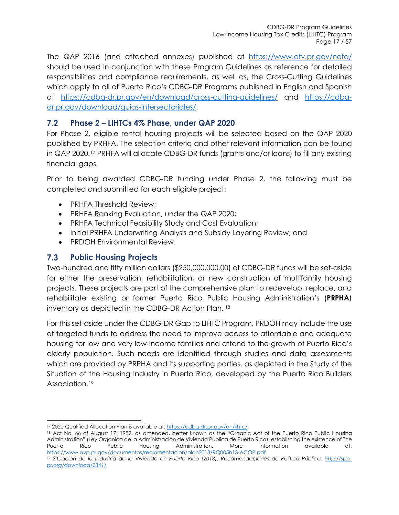The QAP 2016 (and attached annexes) published at <https://www.afv.pr.gov/nofa/> should be used in conjunction with these Program Guidelines as reference for detailed responsibilities and compliance requirements, as well as, the Cross-Cutting Guidelines which apply to all of Puerto Rico's CDBG-DR Programs published in English and Spanish at <https://cdbg-dr.pr.gov/en/download/cross-cutting-guidelines/> and http[s://c](https://cdbg-dr.pr.gov/download/guias-intersectoriales/)dbgdr.pr.gov/download/guias-intersectoriales/.

#### <span id="page-16-0"></span> $7.2$ **Phase 2 – LIHTCs 4% Phase, under QAP 2020**

For Phase 2, eligible rental housing projects will be selected based on the QAP 2020 published by PRHFA. The selection criteria and other relevant information can be found in QAP 2020.[17](#page-16-2) PRHFA will allocate CDBG-DR funds (grants and/or loans) to fill any existing financial gaps.

Prior to being awarded CDBG-DR funding under Phase 2, the following must be completed and submitted for each eligible project:

- PRHFA Threshold Review;
- PRHFA Ranking Evaluation, under the QAP 2020;
- PRHFA Technical Feasibility Study and Cost Evaluation;
- Initial PRHFA Underwriting Analysis and Subsidy Layering Review; and
- PRDOH Environmental Review.

#### <span id="page-16-1"></span> $7.3$ **Public Housing Projects**

Two-hundred and fifty million dollars (\$250,000,000.00) of CDBG-DR funds will be set-aside for either the preservation, rehabilitation, or new construction of multifamily housing projects. These projects are part of the comprehensive plan to redevelop, replace, and rehabilitate existing or former Puerto Rico Public Housing Administration's (**PRPHA**) inventory as depicted in the CDBG-DR Action Plan. [18](#page-16-3)

For this set-aside under the CDBG-DR Gap to LIHTC Program, PRDOH may include the use of targeted funds to address the need to improve access to affordable and adequate housing for low and very low-income families and attend to the growth of Puerto Rico's elderly population. Such needs are identified through studies and data assessments which are provided by PRPHA and its supporting parties, as depicted in the Study of the Situation of the Housing Industry in Puerto Rico, developed by the Puerto Rico Builders Association.<sup>19</sup>

<span id="page-16-3"></span><span id="page-16-2"></span><sup>&</sup>lt;sup>17</sup> 2020 Qualified Allocation Plan is available at: <u>https://cdbg-dr.pr.gov/en/lihtc/</u>.<br><sup>18</sup> Act No. 66 of August 17, 1989, as amended, better known as the "Organic Act of the Puerto Rico Public Housing Administration" (Ley Orgánica de la Administración de Vivienda Pública de Puerto Rico), establishing the existence of The<br>Puerto Rico Public Housing Administration. More information available at: Puerto Rico Public Housing Administration. More information available at: <https://www.avp.pr.gov/documentos/reglamentacion/plan2013/RQ005h13-ACOP.pdf>

<span id="page-16-4"></span><sup>19</sup> *Situación de la Industria de la Vivienda en Puerto Rico (2018). Recomendaciones de Política Pública. [http://spp](http://spp-pr.org/download/2341/)[pr.org/download/2341/](http://spp-pr.org/download/2341/)*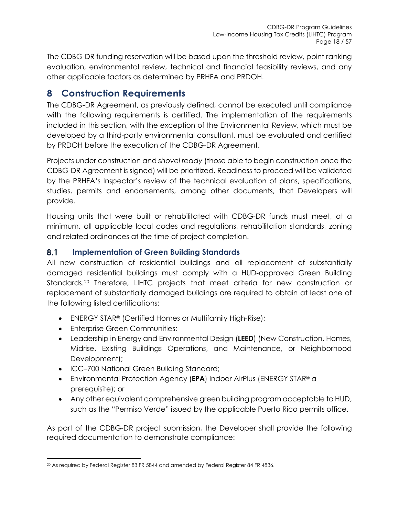The CDBG-DR funding reservation will be based upon the threshold review, point ranking evaluation, environmental review, technical and financial feasibility reviews, and any other applicable factors as determined by PRHFA and PRDOH.

# <span id="page-17-0"></span>**8 Construction Requirements**

The CDBG-DR Agreement, as previously defined, cannot be executed until compliance with the following requirements is certified. The implementation of the requirements included in this section, with the exception of the Environmental Review, which must be developed by a third-party environmental consultant, must be evaluated and certified by PRDOH before the execution of the CDBG-DR Agreement.

Projects under construction and *shovel ready* (those able to begin construction once the CDBG-DR Agreement is signed) will be prioritized. Readiness to proceed will be validated by the PRHFA's Inspector's review of the technical evaluation of plans, specifications, studies, permits and endorsements, among other documents, that Developers will provide.

Housing units that were built or rehabilitated with CDBG-DR funds must meet, at a minimum, all applicable local codes and regulations, rehabilitation standards, zoning and related ordinances at the time of project completion.

#### <span id="page-17-1"></span> $8.1$  **Implementation of Green Building Standards**

All new construction of residential buildings and all replacement of substantially damaged residential buildings must comply with a HUD-approved Green Building Standards.[20](#page-17-2) Therefore, LIHTC projects that meet criteria for new construction or replacement of substantially damaged buildings are required to obtain at least one of the following listed certifications:

- ENERGY STAR® (Certified Homes or Multifamily High-Rise);
- Enterprise Green Communities;
- Leadership in Energy and Environmental Design (**LEED**) (New Construction, Homes, Midrise, Existing Buildings Operations, and Maintenance, or Neighborhood Development);
- ICC–700 National Green Building Standard;
- Environmental Protection Agency (**EPA**) Indoor AirPlus (ENERGY STAR® a prerequisite); or
- Any other equivalent comprehensive green building program acceptable to HUD, such as the "Permiso Verde" issued by the applicable Puerto Rico permits office.

As part of the CDBG-DR project submission, the Developer shall provide the following required documentation to demonstrate compliance:

<span id="page-17-2"></span><sup>20</sup> As required by Federal Register 83 FR 5844 and amended by Federal Register 84 FR 4836.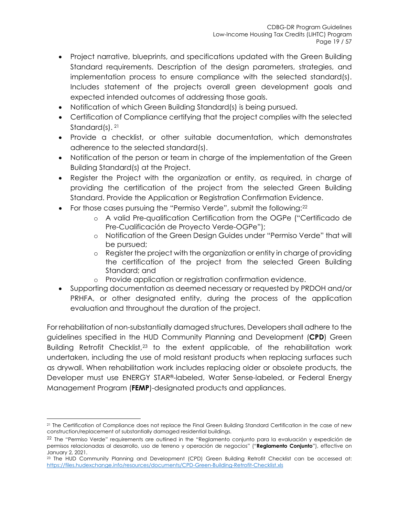- Project narrative, blueprints, and specifications updated with the Green Building Standard requirements. Description of the design parameters, strategies, and implementation process to ensure compliance with the selected standard(s). Includes statement of the projects overall green development goals and expected intended outcomes of addressing those goals.
- Notification of which Green Building Standard(s) is being pursued.
- Certification of Compliance certifying that the project complies with the selected Standard(s).<sup>21</sup>
- Provide a checklist, or other suitable documentation, which demonstrates adherence to the selected standard(s).
- Notification of the person or team in charge of the implementation of the Green Building Standard(s) at the Project.
- Register the Project with the organization or entity, as required, in charge of providing the certification of the project from the selected Green Building Standard. Provide the Application or Registration Confirmation Evidence.
- For those cases pursuing the "Permiso Verde", submit the following:<sup>[22](#page-18-1)</sup>
	- o A valid Pre-qualification Certification from the OGPe ("Certificado de Pre-Cualificación de Proyecto Verde-OGPe");
	- o Notification of the Green Design Guides under "Permiso Verde" that will be pursued;
	- o Register the project with the organization or entity in charge of providing the certification of the project from the selected Green Building Standard; and
	- o Provide application or registration confirmation evidence.
- Supporting documentation as deemed necessary or requested by PRDOH and/or PRHFA, or other designated entity, during the process of the application evaluation and throughout the duration of the project.

For rehabilitation of non-substantially damaged structures, Developers shall adhere to the guidelines specified in the HUD Community Planning and Development (**CPD**) Green Building Retrofit Checklist,<sup>[23](#page-18-2)</sup> to the extent applicable, of the rehabilitation work undertaken, including the use of mold resistant products when replacing surfaces such as drywall. When rehabilitation work includes replacing older or obsolete products, the Developer must use ENERGY STAR®-labeled, Water Sense-labeled, or Federal Energy Management Program (**FEMP**)-designated products and appliances.

<span id="page-18-0"></span><sup>&</sup>lt;sup>21</sup> The Certification of Compliance does not replace the Final Green Building Standard Certification in the case of new construction/replacement of substantially damaged residential buildings.

<span id="page-18-1"></span><sup>22</sup> The "Permiso Verde" requirements are outlined in the "Reglamento conjunto para la evaluación y expedición de permisos relacionadas al desarrollo, uso de terreno y operación de negocios" ("**Reglamento Conjunto**"), effective on January 2, 2021.

<span id="page-18-2"></span><sup>23</sup> The HUD Community Planning and Development (CPD) Green Building Retrofit Checklist can be accessed at: <https://files.hudexchange.info/resources/documents/CPD-Green-Building-Retrofit-Checklist.xls>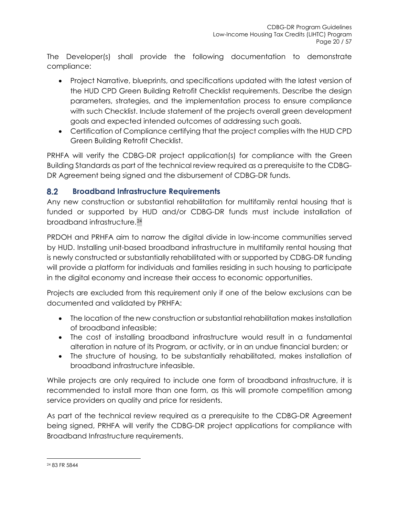The Developer(s) shall provide the following documentation to demonstrate compliance:

- Project Narrative, blueprints, and specifications updated with the latest version of the HUD CPD Green Building Retrofit Checklist requirements. Describe the design parameters, strategies, and the implementation process to ensure compliance with such Checklist. Include statement of the projects overall green development goals and expected intended outcomes of addressing such goals.
- Certification of Compliance certifying that the project complies with the HUD CPD Green Building Retrofit Checklist.

PRHFA will verify the CDBG-DR project application(s) for compliance with the Green Building Standards as part of the technical review required as a prerequisite to the CDBG-DR Agreement being signed and the disbursement of CDBG-DR funds.

#### <span id="page-19-0"></span> $8.2$  **Broadband Infrastructure Requirements**

Any new construction or substantial rehabilitation for multifamily rental housing that is funded or supported by HUD and/or CDBG-DR funds must include installation of broadband infrastructure.[24](#page-19-1)

PRDOH and PRHFA aim to narrow the digital divide in low-income communities served by HUD. Installing unit-based broadband infrastructure in multifamily rental housing that is newly constructed or substantially rehabilitated with or supported by CDBG-DR funding will provide a platform for individuals and families residing in such housing to participate in the digital economy and increase their access to economic opportunities.

Projects are excluded from this requirement only if one of the below exclusions can be documented and validated by PRHFA:

- The location of the new construction or substantial rehabilitation makes installation of broadband infeasible;
- The cost of installing broadband infrastructure would result in a fundamental alteration in nature of its Program, or activity, or in an undue financial burden; or
- The structure of housing, to be substantially rehabilitated, makes installation of broadband infrastructure infeasible.

While projects are only required to include one form of broadband infrastructure, it is recommended to install more than one form, as this will promote competition among service providers on quality and price for residents.

As part of the technical review required as a prerequisite to the CDBG-DR Agreement being signed, PRHFA will verify the CDBG-DR project applications for compliance with Broadband Infrastructure requirements.

<span id="page-19-1"></span><sup>24</sup> 83 FR 5844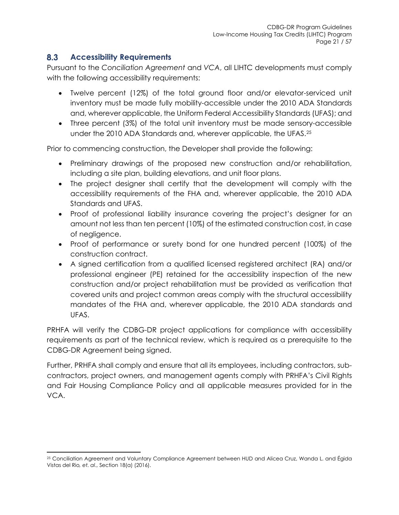#### <span id="page-20-0"></span>8.3 **Accessibility Requirements**

Pursuant to the *Conciliation Agreement* and *VCA*, all LIHTC developments must comply with the following accessibility requirements:

- Twelve percent (12%) of the total ground floor and/or elevator-serviced unit inventory must be made fully mobility-accessible under the 2010 ADA Standards and, wherever applicable, the Uniform Federal Accessibility Standards (UFAS); and
- Three percent (3%) of the total unit inventory must be made sensory-accessible under the 2010 ADA Standards and, wherever applicable, the UFAS[.25](#page-20-1)

Prior to commencing construction, the Developer shall provide the following:

- Preliminary drawings of the proposed new construction and/or rehabilitation, including a site plan, building elevations, and unit floor plans.
- The project designer shall certify that the development will comply with the accessibility requirements of the FHA and, wherever applicable, the 2010 ADA Standards and UFAS.
- Proof of professional liability insurance covering the project's designer for an amount not less than ten percent (10%) of the estimated construction cost, in case of negligence.
- Proof of performance or surety bond for one hundred percent (100%) of the construction contract.
- A signed certification from a qualified licensed registered architect (RA) and/or professional engineer (PE) retained for the accessibility inspection of the new construction and/or project rehabilitation must be provided as verification that covered units and project common areas comply with the structural accessibility mandates of the FHA and, wherever applicable, the 2010 ADA standards and UFAS.

PRHFA will verify the CDBG-DR project applications for compliance with accessibility requirements as part of the technical review, which is required as a prerequisite to the CDBG-DR Agreement being signed.

Further, PRHFA shall comply and ensure that all its employees, including contractors, subcontractors, project owners, and management agents comply with PRHFA's Civil Rights and Fair Housing Compliance Policy and all applicable measures provided for in the VCA.

<span id="page-20-1"></span><sup>25</sup> Conciliation Agreement and Voluntary Compliance Agreement between HUD and Alicea Cruz, Wanda L. and Égida Vistas del Rio*, et. al*., Section 18(a) (2016).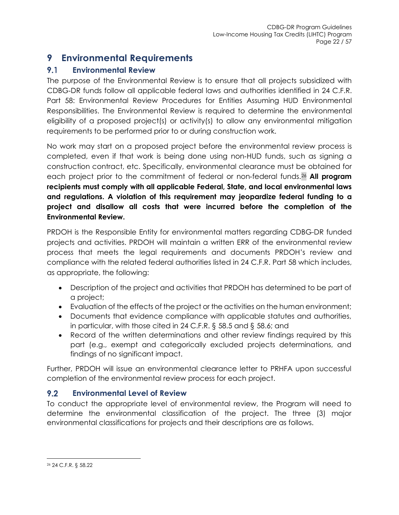# <span id="page-21-0"></span>**9 Environmental Requirements**

#### <span id="page-21-1"></span> **Environmental Review**   $9.1$

The purpose of the Environmental Review is to ensure that all projects subsidized with CDBG‐DR funds follow all applicable federal laws and authorities identified in 24 C.F.R. Part 58: Environmental Review Procedures for Entities Assuming HUD Environmental Responsibilities. The Environmental Review is required to determine the environmental eligibility of a proposed project(s) or activity(s) to allow any environmental mitigation requirements to be performed prior to or during construction work.

No work may start on a proposed project before the environmental review process is completed, even if that work is being done using non‐HUD funds, such as signing a construction contract, etc. Specifically, environmental clearance must be obtained for each project prior to the commitment of federal or non‐federal funds.[26](#page-21-3) **All program recipients must comply with all applicable Federal, State, and local environmental laws and regulations. A violation of this requirement may jeopardize federal funding to a project and disallow all costs that were incurred before the completion of the Environmental Review.** 

PRDOH is the Responsible Entity for environmental matters regarding CDBG-DR funded projects and activities. PRDOH will maintain a written ERR of the environmental review process that meets the legal requirements and documents PRDOH's review and compliance with the related federal authorities listed in 24 C.F.R. Part 58 which includes, as appropriate, the following:

- Description of the project and activities that PRDOH has determined to be part of a project;
- Evaluation of the effects of the project or the activities on the human environment;
- Documents that evidence compliance with applicable statutes and authorities, in particular, with those cited in 24 C.F.R. § 58.5 and § 58.6; and
- Record of the written determinations and other review findings required by this part (e.g., exempt and categorically excluded projects determinations, and findings of no significant impact.

Further, PRDOH will issue an environmental clearance letter to PRHFA upon successful completion of the environmental review process for each project.

#### <span id="page-21-2"></span> $9.2$  **Environmental Level of Review**

To conduct the appropriate level of environmental review, the Program will need to determine the environmental classification of the project. The three (3) major environmental classifications for projects and their descriptions are as follows.

<span id="page-21-3"></span><sup>26</sup> 24 C.F.R. § 58.22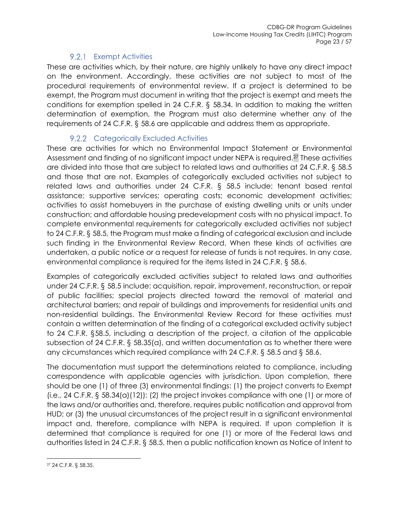#### <span id="page-22-0"></span>9.2.1 Exempt Activities

These are activities which, by their nature, are highly unlikely to have any direct impact on the environment. Accordingly, these activities are not subject to most of the procedural requirements of environmental review. If a project is determined to be exempt, the Program must document in writing that the project is exempt and meets the conditions for exemption spelled in 24 C.F.R. § 58.34. In addition to making the written determination of exemption, the Program must also determine whether any of the requirements of 24 C.F.R. § 58.6 are applicable and address them as appropriate.

### 9.2.2 Categorically Excluded Activities

<span id="page-22-1"></span>These are activities for which no Environmental Impact Statement or Environmental Assessment and finding of no significant impact under NEPA is required[.27](#page-22-2) These activities are divided into those that are subject to related laws and authorities at 24 C.F.R. § 58.5 and those that are not. Examples of categorically excluded activities not subject to related laws and authorities under 24 C.F.R. § 58.5 include: tenant based rental assistance; supportive services; operating costs; economic development activities; activities to assist homebuyers in the purchase of existing dwelling units or units under construction; and affordable housing predevelopment costs with no physical impact. To complete environmental requirements for categorically excluded activities not subject to 24 C.F.R. § 58.5, the Program must make a finding of categorical exclusion and include such finding in the Environmental Review Record. When these kinds of activities are undertaken, a public notice or a request for release of funds is not requires. In any case, environmental compliance is required for the items listed in 24 C.F.R. § 58.6.

Examples of categorically excluded activities subject to related laws and authorities under 24 C.F.R. § 58.5 include: acquisition, repair, improvement, reconstruction, or repair of public facilities; special projects directed toward the removal of material and architectural barriers; and repair of buildings and improvements for residential units and non-residential buildings. The Environmental Review Record for these activities must contain a written determination of the finding of a categorical excluded activity subject to 24 C.F.R. §58.5, including a description of the project, a citation of the applicable subsection of 24 C.F.R. § 58.35(a), and written documentation as to whether there were any circumstances which required compliance with 24 C.F.R. § 58.5 and § 58.6.

The documentation must support the determinations related to compliance, including correspondence with applicable agencies with jurisdiction. Upon completion, there should be one (1) of three (3) environmental findings: (1) the project converts to Exempt (i.e., 24 C.F.R. § 58.34(a)(12)); (2) the project invokes compliance with one (1) or more of the laws and/or authorities and, therefore, requires public notification and approval from HUD; or (3) the unusual circumstances of the project result in a significant environmental impact and, therefore, compliance with NEPA is required. If upon completion it is determined that compliance is required for one (1) or more of the Federal laws and authorities listed in 24 C.F.R. § 58.5, then a public notification known as Notice of Intent to

<span id="page-22-2"></span><sup>27</sup> 24 C.F.R. § 58.35.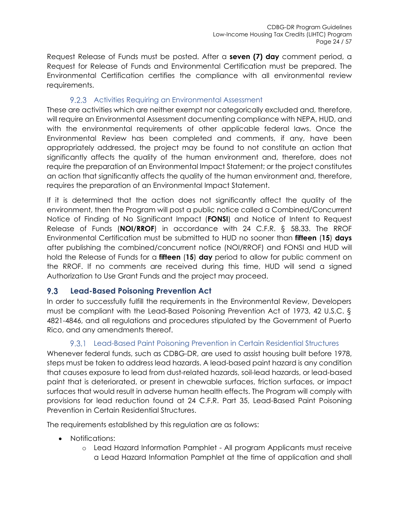Request Release of Funds must be posted. After a **seven (7) day** comment period, a Request for Release of Funds and Environmental Certification must be prepared. The Environmental Certification certifies the compliance with all environmental review requirements.

#### 9.2.3 Activities Requiring an Environmental Assessment

<span id="page-23-0"></span>These are activities which are neither exempt nor categorically excluded and, therefore, will require an Environmental Assessment documenting compliance with NEPA, HUD, and with the environmental requirements of other applicable federal laws. Once the Environmental Review has been completed and comments, if any, have been appropriately addressed, the project may be found to not constitute an action that significantly affects the quality of the human environment and, therefore, does not require the preparation of an Environmental Impact Statement; or the project constitutes an action that significantly affects the quality of the human environment and, therefore, requires the preparation of an Environmental Impact Statement.

If it is determined that the action does not significantly affect the quality of the environment, then the Program will post a public notice called a Combined/Concurrent Notice of Finding of No Significant Impact (**FONSI**) and Notice of Intent to Request Release of Funds (**NOI/RROF**) in accordance with 24 C.F.R. § 58.33. The RROF Environmental Certification must be submitted to HUD no sooner than **fifteen** (**15**) **days** after publishing the combined/concurrent notice (NOI/RROF) and FONSI and HUD will hold the Release of Funds for a **fifteen** (**15**) **day** period to allow for public comment on the RROF. If no comments are received during this time, HUD will send a signed Authorization to Use Grant Funds and the project may proceed.

#### <span id="page-23-1"></span> $9.3$ **Lead-Based Poisoning Prevention Act**

In order to successfully fulfill the requirements in the Environmental Review, Developers must be compliant with the Lead-Based Poisoning Prevention Act of 1973, 42 U.S.C. § 4821-4846, and all regulations and procedures stipulated by the Government of Puerto Rico, and any amendments thereof.

#### 9.3.1 Lead-Based Paint Poisoning Prevention in Certain Residential Structures

<span id="page-23-2"></span>Whenever federal funds, such as CDBG-DR, are used to assist housing built before 1978, steps must be taken to address lead hazards. A lead-based paint hazard is any condition that causes exposure to lead from dust-related hazards, soil-lead hazards, or lead-based paint that is deteriorated, or present in chewable surfaces, friction surfaces, or impact surfaces that would result in adverse human health effects. The Program will comply with provisions for lead reduction found at 24 C.F.R. Part 35, Lead-Based Paint Poisoning Prevention in Certain Residential Structures.

The requirements established by this regulation are as follows:

- Notifications:
	- o Lead Hazard Information Pamphlet All program Applicants must receive a Lead Hazard Information Pamphlet at the time of application and shall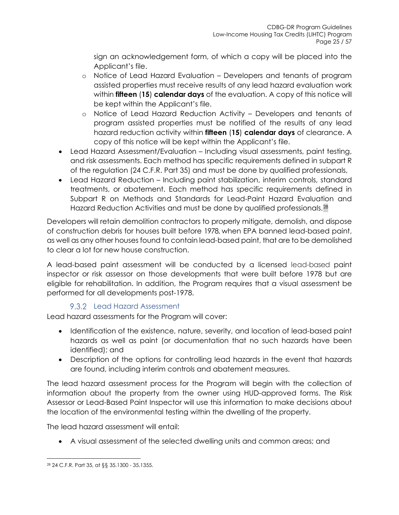sign an acknowledgement form, of which a copy will be placed into the Applicant's file.

- o Notice of Lead Hazard Evaluation Developers and tenants of program assisted properties must receive results of any lead hazard evaluation work within **fifteen** (**15**) **calendar days** of the evaluation. A copy of this notice will be kept within the Applicant's file.
- o Notice of Lead Hazard Reduction Activity Developers and tenants of program assisted properties must be notified of the results of any lead hazard reduction activity within **fifteen** (**15**) **calendar days** of clearance. A copy of this notice will be kept within the Applicant's file.
- Lead Hazard Assessment/Evaluation Including visual assessments, paint testing, and risk assessments. Each method has specific requirements defined in subpart R of the regulation (24 C.F.R. Part 35) and must be done by qualified professionals,
- Lead Hazard Reduction Including paint stabilization, interim controls, standard treatments, or abatement. Each method has specific requirements defined in Subpart R on Methods and Standards for Lead-Paint Hazard Evaluation and Hazard Reduction Activities and must be done by qualified professionals.<sup>[28](#page-24-1)</sup>

Developers will retain demolition contractors to properly mitigate, demolish, and dispose of construction debris for houses built before 1978, when EPA banned lead-based paint, as well as any other houses found to contain lead-based paint, that are to be demolished to clear a lot for new house construction.

A lead-based paint assessment will be conducted by a licensed lead-based paint inspector or risk assessor on those developments that were built before 1978 but are eligible for rehabilitation. In addition, the Program requires that a visual assessment be performed for all developments post-1978.

#### 9.3.2 Lead Hazard Assessment

<span id="page-24-0"></span>Lead hazard assessments for the Program will cover:

- Identification of the existence, nature, severity, and location of lead-based paint hazards as well as paint (or documentation that no such hazards have been identified); and
- Description of the options for controlling lead hazards in the event that hazards are found, including interim controls and abatement measures.

The lead hazard assessment process for the Program will begin with the collection of information about the property from the owner using HUD-approved forms. The Risk Assessor or Lead-Based Paint Inspector will use this information to make decisions about the location of the environmental testing within the dwelling of the property.

The lead hazard assessment will entail:

• A visual assessment of the selected dwelling units and common areas; and

<span id="page-24-1"></span><sup>28</sup> 24 C.F.R. Part 35, at §§ 35.1300 - 35.1355.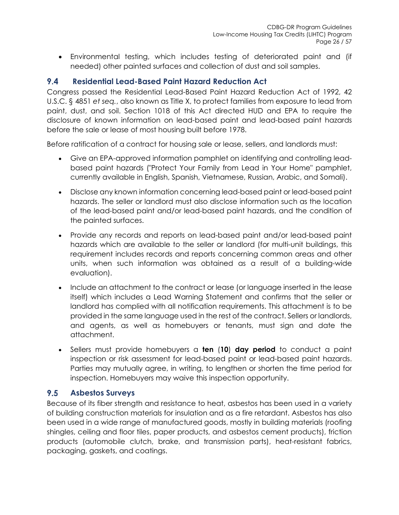• Environmental testing, which includes testing of deteriorated paint and (if needed) other painted surfaces and collection of dust and soil samples.

#### <span id="page-25-0"></span> $9.4$ **Residential Lead-Based Paint Hazard Reduction Act**

Congress passed the Residential Lead-Based Paint Hazard Reduction Act of 1992, 42 U.S.C. § 4851 *et seq.*, also known as Title X, to protect families from exposure to lead from paint, dust, and soil. Section 1018 of this Act directed HUD and EPA to require the disclosure of known information on lead-based paint and lead-based paint hazards before the sale or lease of most housing built before 1978.

Before ratification of a contract for housing sale or lease, sellers, and landlords must:

- Give an EPA-approved information pamphlet on identifying and controlling leadbased paint hazards ("Protect Your Family from Lead in Your Home" pamphlet, currently available in English, Spanish, Vietnamese, Russian, Arabic, and Somali).
- Disclose any known information concerning lead-based paint or lead-based paint hazards. The seller or landlord must also disclose information such as the location of the lead-based paint and/or lead-based paint hazards, and the condition of the painted surfaces.
- Provide any records and reports on lead-based paint and/or lead-based paint hazards which are available to the seller or landlord (for multi-unit buildings, this requirement includes records and reports concerning common areas and other units, when such information was obtained as a result of a building-wide evaluation).
- Include an attachment to the contract or lease (or language inserted in the lease itself) which includes a Lead Warning Statement and confirms that the seller or landlord has complied with all notification requirements. This attachment is to be provided in the same language used in the rest of the contract. Sellers or landlords, and agents, as well as homebuyers or tenants, must sign and date the attachment.
- Sellers must provide homebuyers a **ten** (**10**) **day period** to conduct a paint inspection or risk assessment for lead-based paint or lead-based paint hazards. Parties may mutually agree, in writing, to lengthen or shorten the time period for inspection. Homebuyers may waive this inspection opportunity.

#### <span id="page-25-1"></span> $9.5$ **Asbestos Surveys**

Because of its fiber strength and resistance to heat, asbestos has been used in a variety of building construction materials for insulation and as a fire retardant. Asbestos has also been used in a wide range of manufactured goods, mostly in building materials (roofing shingles, ceiling and floor tiles, paper products, and asbestos cement products), friction products (automobile clutch, brake, and transmission parts), heat-resistant fabrics, packaging, gaskets, and coatings.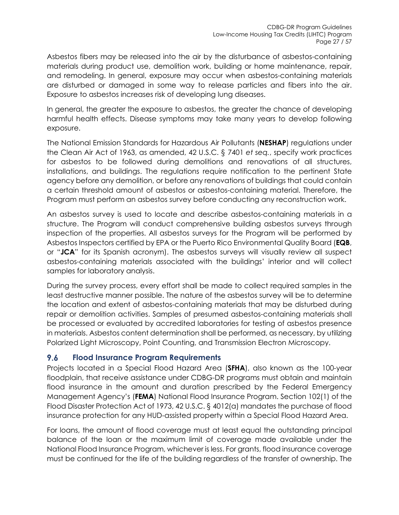Asbestos fibers may be released into the air by the disturbance of asbestos-containing materials during product use, demolition work, building or home maintenance, repair, and remodeling. In general, exposure may occur when asbestos-containing materials are disturbed or damaged in some way to release particles and fibers into the air. Exposure to asbestos increases risk of developing lung diseases.

In general, the greater the exposure to asbestos, the greater the chance of developing harmful health effects. Disease symptoms may take many years to develop following exposure.

The National Emission Standards for Hazardous Air Pollutants (**NESHAP**) regulations under the Clean Air Act of 1963, as amended, 42 U.S.C. § 7401 *et seq.*, specify work practices for asbestos to be followed during demolitions and renovations of all structures, installations, and buildings. The regulations require notification to the pertinent State agency before any demolition, or before any renovations of buildings that could contain a certain threshold amount of asbestos or asbestos-containing material. Therefore, the Program must perform an asbestos survey before conducting any reconstruction work.

An asbestos survey is used to locate and describe asbestos-containing materials in a structure. The Program will conduct comprehensive building asbestos surveys through inspection of the properties. All asbestos surveys for the Program will be performed by Asbestos Inspectors certified by EPA or the Puerto Rico Environmental Quality Board (**EQB**, or "**JCA**" for its Spanish acronym). The asbestos surveys will visually review all suspect asbestos-containing materials associated with the buildings' interior and will collect samples for laboratory analysis.

During the survey process, every effort shall be made to collect required samples in the least destructive manner possible. The nature of the asbestos survey will be to determine the location and extent of asbestos-containing materials that may be disturbed during repair or demolition activities. Samples of presumed asbestos-containing materials shall be processed or evaluated by accredited laboratories for testing of asbestos presence in materials. Asbestos content determination shall be performed, as necessary, by utilizing Polarized Light Microscopy, Point Counting, and Transmission Electron Microscopy.

#### <span id="page-26-0"></span>9.6 **Flood Insurance Program Requirements**

Projects located in a Special Flood Hazard Area (**SFHA**), also known as the 100-year floodplain, that receive assistance under CDBG-DR programs must obtain and maintain flood insurance in the amount and duration prescribed by the Federal Emergency Management Agency's (**FEMA**) National Flood Insurance Program. Section 102(1) of the Flood Disaster Protection Act of 1973, 42 U.S.C. § 4012(a) mandates the purchase of flood insurance protection for any HUD-assisted property within a Special Flood Hazard Area.

For loans, the amount of flood coverage must at least equal the outstanding principal balance of the loan or the maximum limit of coverage made available under the National Flood Insurance Program, whichever is less. For grants, flood insurance coverage must be continued for the life of the building regardless of the transfer of ownership. The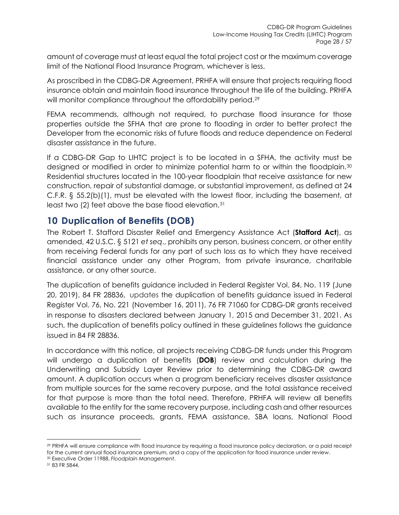amount of coverage must at least equal the total project cost or the maximum coverage limit of the National Flood Insurance Program, whichever is less.

As proscribed in the CDBG-DR Agreement, PRHFA will ensure that projects requiring flood insurance obtain and maintain flood insurance throughout the life of the building. PRHFA will monitor compliance throughout the affordability period.<sup>29</sup>

FEMA recommends, although not required, to purchase flood insurance for those properties outside the SFHA that are prone to flooding in order to better protect the Developer from the economic risks of future floods and reduce dependence on Federal disaster assistance in the future.

If a CDBG-DR Gap to LIHTC project is to be located in a SFHA, the activity must be designed or modified in order to minimize potential harm to or within the floodplain.[30](#page-27-2) Residential structures located in the 100-year floodplain that receive assistance for new construction, repair of substantial damage, or substantial improvement, as defined at 24 C.F.R. § 55.2(b)(1), must be elevated with the lowest floor, including the basement, at least two (2) feet above the base flood elevation.[31](#page-27-3)

# <span id="page-27-0"></span>**10 Duplication of Benefits (DOB)**

The Robert T. Stafford Disaster Relief and Emergency Assistance Act (**Stafford Act**), as amended, 42 U.S.C. § 5121 *et seq*., prohibits any person, business concern, or other entity from receiving Federal funds for any part of such loss as to which they have received financial assistance under any other Program, from private insurance, charitable assistance, or any other source.

The duplication of benefits guidance included in Federal Register Vol. 84, No. 119 (June 20, 2019), 84 FR 28836, updates the duplication of benefits guidance issued in Federal Register Vol. 76, No. 221 (November 16, 2011), 76 FR 71060 for CDBG-DR grants received in response to disasters declared between January 1, 2015 and December 31, 2021. As such, the duplication of benefits policy outlined in these guidelines follows the guidance issued in 84 FR 28836.

In accordance with this notice, all projects receiving CDBG-DR funds under this Program will undergo a duplication of benefits (**DOB**) review and calculation during the Underwriting and Subsidy Layer Review prior to determining the CDBG-DR award amount. A duplication occurs when a program beneficiary receives disaster assistance from multiple sources for the same recovery purpose, and the total assistance received for that purpose is more than the total need. Therefore, PRHFA will review all benefits available to the entity for the same recovery purpose, including cash and other resources such as insurance proceeds, grants, FEMA assistance, SBA loans, National Flood

<span id="page-27-1"></span><sup>29</sup> PRHFA will ensure compliance with flood insurance by requiring a flood insurance policy declaration, or a paid receipt for the current annual flood insurance premium, and a copy of the application for flood insurance under review. <sup>30</sup> Executive Order 11988, *Floodplain Management*.

<span id="page-27-3"></span><span id="page-27-2"></span><sup>31</sup> 83 FR 5844.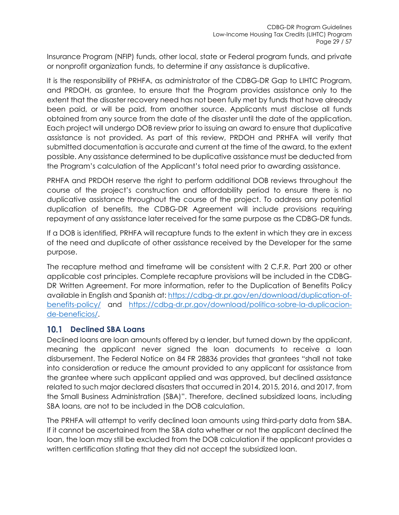Insurance Program (NFIP) funds, other local, state or Federal program funds, and private or nonprofit organization funds, to determine if any assistance is duplicative.

It is the responsibility of PRHFA, as administrator of the CDBG-DR Gap to LIHTC Program, and PRDOH, as grantee, to ensure that the Program provides assistance only to the extent that the disaster recovery need has not been fully met by funds that have already been paid, or will be paid, from another source. Applicants must disclose all funds obtained from any source from the date of the disaster until the date of the application. Each project will undergo DOB review prior to issuing an award to ensure that duplicative assistance is not provided. As part of this review, PRDOH and PRHFA will verify that submitted documentation is accurate and current at the time of the award, to the extent possible. Any assistance determined to be duplicative assistance must be deducted from the Program's calculation of the Applicant's total need prior to awarding assistance.

PRHFA and PRDOH reserve the right to perform additional DOB reviews throughout the course of the project's construction and affordability period to ensure there is no duplicative assistance throughout the course of the project. To address any potential duplication of benefits, the CDBG-DR Agreement will include provisions requiring repayment of any assistance later received for the same purpose as the CDBG-DR funds.

If a DOB is identified, PRHFA will recapture funds to the extent in which they are in excess of the need and duplicate of other assistance received by the Developer for the same purpose.

The recapture method and timeframe will be consistent with 2 C.F.R. Part 200 or other applicable cost principles. Complete recapture provisions will be included in the CDBG-DR Written Agreement. For more information, refer to the Duplication of Benefits Policy available in English and Spanish at: [https://cdbg-dr.pr.gov/en/download/duplication-of](https://cdbg-dr.pr.gov/en/download/duplication-of-benefits-policy/)[benefits-policy/](https://cdbg-dr.pr.gov/en/download/duplication-of-benefits-policy/) and [https://cdbg-dr.pr.gov/download/politica-sobre-la-duplicacion](https://cdbg-dr.pr.gov/download/politica-sobre-la-duplicacion-de-beneficios/)[de-beneficios/.](https://cdbg-dr.pr.gov/download/politica-sobre-la-duplicacion-de-beneficios/)

## <span id="page-28-0"></span>10.1 Declined SBA Loans

Declined loans are loan amounts offered by a lender, but turned down by the applicant, meaning the applicant never signed the loan documents to receive a loan disbursement. The Federal Notice on 84 FR 28836 provides that grantees "shall not take into consideration or reduce the amount provided to any applicant for assistance from the grantee where such applicant applied and was approved, but declined assistance related to such major declared disasters that occurred in 2014, 2015, 2016, and 2017, from the Small Business Administration (SBA)". Therefore, declined subsidized loans, including SBA loans, are not to be included in the DOB calculation.

The PRHFA will attempt to verify declined loan amounts using third-party data from SBA. If it cannot be ascertained from the SBA data whether or not the applicant declined the loan, the loan may still be excluded from the DOB calculation if the applicant provides a written certification stating that they did not accept the subsidized loan.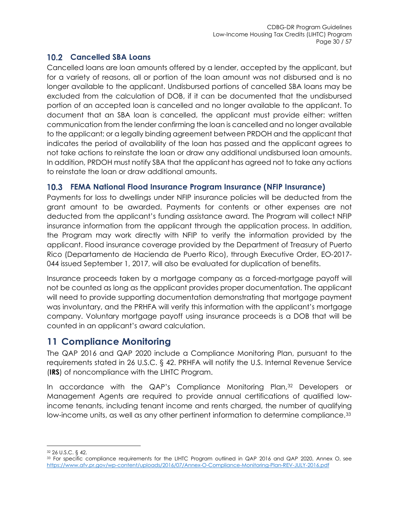## <span id="page-29-0"></span>10.2 Cancelled SBA Loans

Cancelled loans are loan amounts offered by a lender, accepted by the applicant, but for a variety of reasons, all or portion of the loan amount was not disbursed and is no longer available to the applicant. Undisbursed portions of cancelled SBA loans may be excluded from the calculation of DOB, if it can be documented that the undisbursed portion of an accepted loan is cancelled and no longer available to the applicant. To document that an SBA loan is cancelled, the applicant must provide either: written communication from the lender confirming the loan is cancelled and no longer available to the applicant; or a legally binding agreement between PRDOH and the applicant that indicates the period of availability of the loan has passed and the applicant agrees to not take actions to reinstate the loan or draw any additional undisbursed loan amounts. In addition, PRDOH must notify SBA that the applicant has agreed not to take any actions to reinstate the loan or draw additional amounts.

### <span id="page-29-1"></span>**FEMA National Flood Insurance Program Insurance (NFIP Insurance)**

Payments for loss to dwellings under NFIP insurance policies will be deducted from the grant amount to be awarded. Payments for contents or other expenses are not deducted from the applicant's funding assistance award. The Program will collect NFIP insurance information from the applicant through the application process. In addition, the Program may work directly with NFIP to verify the information provided by the applicant. Flood insurance coverage provided by the Department of Treasury of Puerto Rico (Departamento de Hacienda de Puerto Rico), through Executive Order, EO-2017- 044 issued September 1, 2017, will also be evaluated for duplication of benefits.

Insurance proceeds taken by a mortgage company as a forced-mortgage payoff will not be counted as long as the applicant provides proper documentation. The applicant will need to provide supporting documentation demonstrating that mortgage payment was involuntary, and the PRHFA will verify this information with the applicant's mortgage company. Voluntary mortgage payoff using insurance proceeds is a DOB that will be counted in an applicant's award calculation.

## <span id="page-29-2"></span>**11 Compliance Monitoring**

The QAP 2016 and QAP 2020 include a Compliance Monitoring Plan, pursuant to the requirements stated in 26 U.S.C. § 42. PRHFA will notify the U.S. Internal Revenue Service (**IRS**) of noncompliance with the LIHTC Program.

In accordance with the QAP's Compliance Monitoring Plan,<sup>[32](#page-29-3)</sup> Developers or Management Agents are required to provide annual certifications of qualified lowincome tenants, including tenant income and rents charged, the number of qualifying low-income units, as well as any other pertinent information to determine compliance.<sup>[33](#page-29-4)</sup>

<span id="page-29-3"></span><sup>32</sup> 26 U.S.C. § 42.

<span id="page-29-4"></span><sup>33</sup> For specific compliance requirements for the LIHTC Program outlined in QAP 2016 and QAP 2020, Annex O, see <https://www.afv.pr.gov/wp-content/uploads/2016/07/Annex-O-Compliance-Monitoring-Plan-REV-JULY-2016.pdf>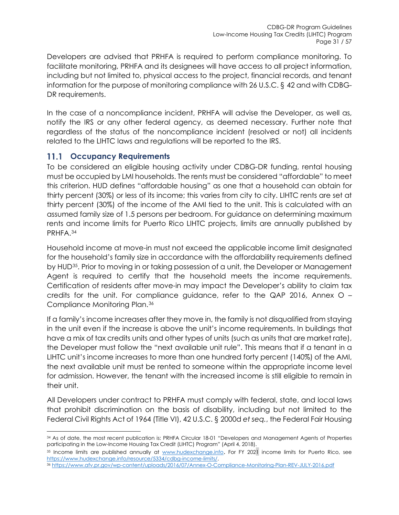Developers are advised that PRHFA is required to perform compliance monitoring. To facilitate monitoring, PRHFA and its designees will have access to all project information, including but not limited to, physical access to the project, financial records, and tenant information for the purpose of monitoring compliance with 26 U.S.C. § 42 and with CDBG-DR requirements.

In the case of a noncompliance incident, PRHFA will advise the Developer, as well as, notify the IRS or any other federal agency, as deemed necessary. Further note that regardless of the status of the noncompliance incident (resolved or not) all incidents related to the LIHTC laws and regulations will be reported to the IRS.

#### <span id="page-30-0"></span>**Occupancy Requirements**

To be considered an eligible housing activity under CDBG-DR funding, rental housing must be occupied by LMI households. The rents must be considered "affordable" to meet this criterion. HUD defines "affordable housing" as one that a household can obtain for thirty percent (30%) or less of its income; this varies from city to city. LIHTC rents are set at thirty percent (30%) of the income of the AMI tied to the unit. This is calculated with an assumed family size of 1.5 persons per bedroom. For guidance on determining maximum rents and income limits for Puerto Rico LIHTC projects, limits are annually published by PRHFA.[34](#page-30-1)

Household income at move-in must not exceed the applicable income limit designated for the household's family size in accordance with the affordability requirements defined by HU[D35](#page-30-2). Prior to moving in or taking possession of a unit, the Developer or Management Agent is required to certify that the household meets the income requirements. Certification of residents after move-in may impact the Developer's ability to claim tax credits for the unit. For compliance guidance, refer to the QAP 2016, Annex O – Compliance Monitoring Plan.[36](#page-30-3) 

If a family's income increases after they move in, the family is not disqualified from staying in the unit even if the increase is above the unit's income requirements. In buildings that have a mix of tax credits units and other types of units (such as units that are market rate), the Developer must follow the "next available unit rule". This means that if a tenant in a LIHTC unit's income increases to more than one hundred forty percent (140%) of the AMI, the next available unit must be rented to someone within the appropriate income level for admission. However, the tenant with the increased income is still eligible to remain in their unit.

All Developers under contract to PRHFA must comply with federal, state, and local laws that prohibit discrimination on the basis of disability, including but not limited to the Federal Civil Rights Act of 1964 (Title VI), 42 U.S.C. § 2000d *et seq.*, the Federal Fair Housing

<span id="page-30-1"></span><sup>34</sup> As of date, the most recent publication is: PRHFA Circular 18-01 "Developers and Management Agents of Properties participating in the Low-Income Housing Tax Credit (LIHTC) Program" (April 4, 2018).

<span id="page-30-2"></span><sup>35</sup> Income limits are published annually at [www.hudexchange.info.](http://www.hudexchange.info/) For FY 2021 income limits for Puerto Rico, see [https://www.hudexchange.info/resource/5334/cdbg-income-limits/.](https://www.hudexchange.info/resource/5334/cdbg-income-limits/)

<span id="page-30-3"></span><sup>36</sup> <https://www.afv.pr.gov/wp-content/uploads/2016/07/Annex-O-Compliance-Monitoring-Plan-REV-JULY-2016.pdf>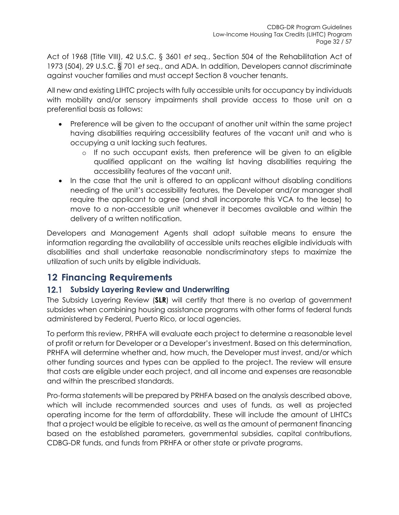Act of 1968 (Title VIII), 42 U.S.C. § 3601 *et seq.*, Section 504 of the Rehabilitation Act of 1973 (504), 29 U.S.C. § 701 *et seq.*, and ADA. In addition, Developers cannot discriminate against voucher families and must accept Section 8 voucher tenants.

All new and existing LIHTC projects with fully accessible units for occupancy by individuals with mobility and/or sensory impairments shall provide access to those unit on a preferential basis as follows:

- Preference will be given to the occupant of another unit within the same project having disabilities requiring accessibility features of the vacant unit and who is occupying a unit lacking such features.
	- o If no such occupant exists, then preference will be given to an eligible qualified applicant on the waiting list having disabilities requiring the accessibility features of the vacant unit.
- In the case that the unit is offered to an applicant without disabling conditions needing of the unit's accessibility features, the Developer and/or manager shall require the applicant to agree (and shall incorporate this VCA to the lease) to move to a non-accessible unit whenever it becomes available and within the delivery of a written notification.

Developers and Management Agents shall adopt suitable means to ensure the information regarding the availability of accessible units reaches eligible individuals with disabilities and shall undertake reasonable nondiscriminatory steps to maximize the utilization of such units by eligible individuals.

# <span id="page-31-0"></span>**12 Financing Requirements**

## <span id="page-31-1"></span>**Subsidy Layering Review and Underwriting**

The Subsidy Layering Review (**SLR**) will certify that there is no overlap of government subsides when combining housing assistance programs with other forms of federal funds administered by Federal, Puerto Rico, or local agencies.

To perform this review, PRHFA will evaluate each project to determine a reasonable level of profit or return for Developer or a Developer's investment. Based on this determination, PRHFA will determine whether and, how much, the Developer must invest, and/or which other funding sources and types can be applied to the project. The review will ensure that costs are eligible under each project, and all income and expenses are reasonable and within the prescribed standards.

Pro-forma statements will be prepared by PRHFA based on the analysis described above, which will include recommended sources and uses of funds, as well as projected operating income for the term of affordability. These will include the amount of LIHTCs that a project would be eligible to receive, as well as the amount of permanent financing based on the established parameters, governmental subsidies, capital contributions, CDBG-DR funds, and funds from PRHFA or other state or private programs.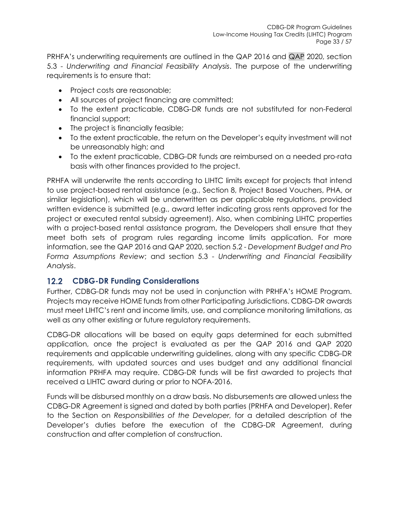PRHFA's underwriting requirements are outlined in the QAP 2016 and QAP 2020, section 5.3 - *Underwriting and Financial Feasibility Analysis*. The purpose of the underwriting requirements is to ensure that:

- Project costs are reasonable;
- All sources of project financing are committed;
- To the extent practicable, CDBG-DR funds are not substituted for non-Federal financial support;
- The project is financially feasible;
- To the extent practicable, the return on the Developer's equity investment will not be unreasonably high; and
- To the extent practicable, CDBG-DR funds are reimbursed on a needed pro-rata basis with other finances provided to the project.

PRHFA will underwrite the rents according to LIHTC limits except for projects that intend to use project-based rental assistance (e.g., Section 8, Project Based Vouchers, PHA, or similar legislation), which will be underwritten as per applicable regulations, provided written evidence is submitted (e.g., award letter indicating gross rents approved for the project or executed rental subsidy agreement). Also, when combining LIHTC properties with a project-based rental assistance program, the Developers shall ensure that they meet both sets of program rules regarding income limits application. For more information, see the QAP 2016 and QAP 2020, section 5.2 - *Development Budget and Pro Forma Assumptions Review*; and section 5.3 - *Underwriting and Financial Feasibility Analysis*.

#### <span id="page-32-0"></span> $12.2$  **CDBG-DR Funding Considerations**

Further, CDBG-DR funds may not be used in conjunction with PRHFA's HOME Program. Projects may receive HOME funds from other Participating Jurisdictions. CDBG-DR awards must meet LIHTC's rent and income limits, use, and compliance monitoring limitations, as well as any other existing or future regulatory requirements.

CDBG-DR allocations will be based on equity gaps determined for each submitted application, once the project is evaluated as per the QAP 2016 and QAP 2020 requirements and applicable underwriting guidelines, along with any specific CDBG-DR requirements, with updated sources and uses budget and any additional financial information PRHFA may require. CDBG-DR funds will be first awarded to projects that received a LIHTC award during or prior to NOFA-2016.

Funds will be disbursed monthly on a draw basis. No disbursements are allowed unless the CDBG-DR Agreement is signed and dated by both parties (PRHFA and Developer). Refer to the Section on *Responsibilities of the Developer,* for a detailed description of the Developer's duties before the execution of the CDBG-DR Agreement, during construction and after completion of construction.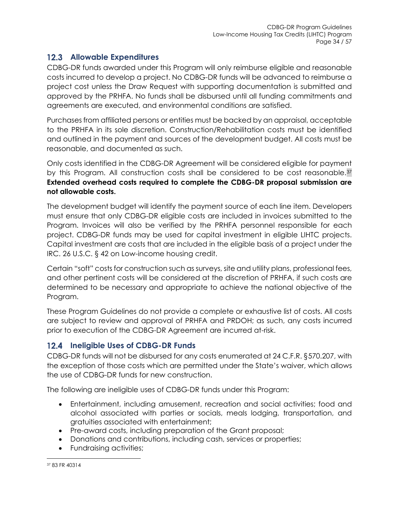## <span id="page-33-0"></span>**Allowable Expenditures**

CDBG-DR funds awarded under this Program will only reimburse eligible and reasonable costs incurred to develop a project. No CDBG-DR funds will be advanced to reimburse a project cost unless the Draw Request with supporting documentation is submitted and approved by the PRHFA. No funds shall be disbursed until all funding commitments and agreements are executed, and environmental conditions are satisfied.

Purchases from affiliated persons or entities must be backed by an appraisal, acceptable to the PRHFA in its sole discretion. Construction/Rehabilitation costs must be identified and outlined in the payment and sources of the development budget. All costs must be reasonable, and documented as such.

Only costs identified in the CDBG-DR Agreement will be considered eligible for payment by this Program. All construction costs shall be considered to be cost reasonable.<sup>[37](#page-33-2)</sup> **Extended overhead costs required to complete the CDBG-DR proposal submission are not allowable costs.**

The development budget will identify the payment source of each line item. Developers must ensure that only CDBG-DR eligible costs are included in invoices submitted to the Program. Invoices will also be verified by the PRHFA personnel responsible for each project. CDBG-DR funds may be used for capital investment in eligible LIHTC projects. Capital investment are costs that are included in the eligible basis of a project under the IRC. 26 U.S.C. § 42 on Low-income housing credit.

Certain "soft" costs for construction such as surveys, site and utility plans, professional fees, and other pertinent costs will be considered at the discretion of PRHFA, if such costs are determined to be necessary and appropriate to achieve the national objective of the Program.

These Program Guidelines do not provide a complete or exhaustive list of costs. All costs are subject to review and approval of PRHFA and PRDOH; as such, any costs incurred prior to execution of the CDBG-DR Agreement are incurred at-risk.

#### <span id="page-33-1"></span>12.4 Ineligible Uses of CDBG-DR Funds

CDBG-DR funds will not be disbursed for any costs enumerated at 24 C.F.R. §570.207, with the exception of those costs which are permitted under the State's waiver, which allows the use of CDBG-DR funds for new construction.

The following are ineligible uses of CDBG-DR funds under this Program:

- Entertainment, including amusement, recreation and social activities; food and alcohol associated with parties or socials, meals lodging, transportation, and gratuities associated with entertainment;
- Pre-award costs, including preparation of the Grant proposal;
- Donations and contributions, including cash, services or properties;
- <span id="page-33-2"></span>• Fundraising activities;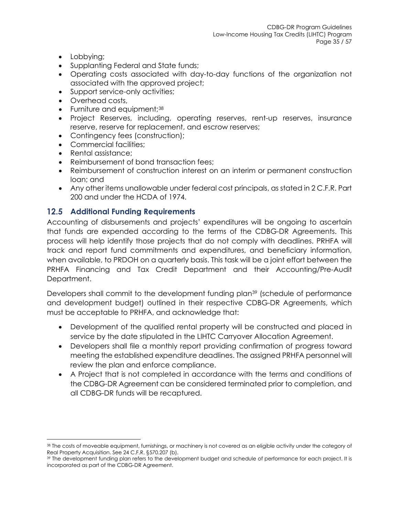- Lobbying;
- Supplanting Federal and State funds;
- Operating costs associated with day-to-day functions of the organization not associated with the approved project;
- Support service-only activities;
- Overhead costs,
- Furniture and equipment;<sup>[38](#page-34-1)</sup>
- Project Reserves, including, operating reserves, rent-up reserves, insurance reserve, reserve for replacement, and escrow reserves;
- Contingency fees (construction);
- Commercial facilities:
- Rental assistance:
- Reimbursement of bond transaction fees:
- Reimbursement of construction interest on an interim or permanent construction loan; and
- Any other items unallowable under federal cost principals, as stated in 2 C.F.R. Part 200 and under the HCDA of 1974.

#### <span id="page-34-0"></span>**Additional Funding Requirements**

Accounting of disbursements and projects' expenditures will be ongoing to ascertain that funds are expended according to the terms of the CDBG-DR Agreements. This process will help identify those projects that do not comply with deadlines. PRHFA will track and report fund commitments and expenditures, and beneficiary information, when available, to PRDOH on a quarterly basis. This task will be a joint effort between the PRHFA Financing and Tax Credit Department and their Accounting/Pre-Audit Department.

Developers shall commit to the development funding plan<sup>[39](#page-34-2)</sup> (schedule of performance and development budget) outlined in their respective CDBG-DR Agreements, which must be acceptable to PRHFA, and acknowledge that:

- Development of the qualified rental property will be constructed and placed in service by the date stipulated in the LIHTC Carryover Allocation Agreement.
- Developers shall file a monthly report providing confirmation of progress toward meeting the established expenditure deadlines. The assigned PRHFA personnel will review the plan and enforce compliance.
- A Project that is not completed in accordance with the terms and conditions of the CDBG-DR Agreement can be considered terminated prior to completion, and all CDBG-DR funds will be recaptured.

<span id="page-34-1"></span><sup>38</sup> The costs of moveable equipment, furnishings, or machinery is not covered as an eligible activity under the category of Real Property Acquisition. See 24 C.F.R. §570.207 (b).

<span id="page-34-2"></span><sup>39</sup> The development funding plan refers to the development budget and schedule of performance for each project. It is incorporated as part of the CDBG-DR Agreement.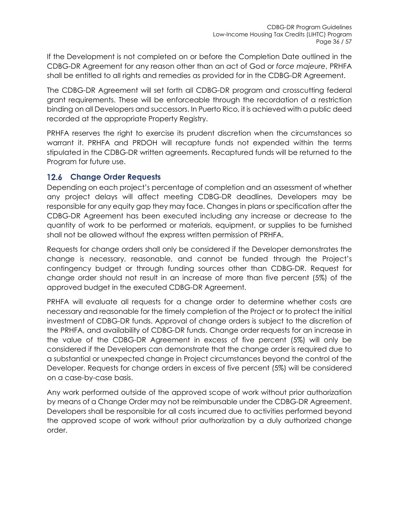If the Development is not completed on or before the Completion Date outlined in the CDBG-DR Agreement for any reason other than an act of God or *force majeure*, PRHFA shall be entitled to all rights and remedies as provided for in the CDBG-DR Agreement.

The CDBG-DR Agreement will set forth all CDBG-DR program and crosscutting federal grant requirements. These will be enforceable through the recordation of a restriction binding on all Developers and successors. In Puerto Rico, it is achieved with a public deed recorded at the appropriate Property Registry.

PRHFA reserves the right to exercise its prudent discretion when the circumstances so warrant it. PRHFA and PRDOH will recapture funds not expended within the terms stipulated in the CDBG-DR written agreements. Recaptured funds will be returned to the Program for future use.

#### <span id="page-35-0"></span>**Change Order Requests**

Depending on each project's percentage of completion and an assessment of whether any project delays will affect meeting CDBG-DR deadlines, Developers may be responsible for any equity gap they may face. Changes in plans or specification after the CDBG-DR Agreement has been executed including any increase or decrease to the quantity of work to be performed or materials, equipment, or supplies to be furnished shall not be allowed without the express written permission of PRHFA.

Requests for change orders shall only be considered if the Developer demonstrates the change is necessary, reasonable, and cannot be funded through the Project's contingency budget or through funding sources other than CDBG-DR. Request for change order should not result in an increase of more than five percent (5%) of the approved budget in the executed CDBG-DR Agreement.

PRHFA will evaluate all requests for a change order to determine whether costs are necessary and reasonable for the timely completion of the Project or to protect the initial investment of CDBG-DR funds. Approval of change orders is subject to the discretion of the PRHFA, and availability of CDBG-DR funds. Change order requests for an increase in the value of the CDBG-DR Agreement in excess of five percent (5%) will only be considered if the Developers can demonstrate that the change order is required due to a substantial or unexpected change in Project circumstances beyond the control of the Developer. Requests for change orders in excess of five percent (5%) will be considered on a case-by-case basis.

Any work performed outside of the approved scope of work without prior authorization by means of a Change Order may not be reimbursable under the CDBG-DR Agreement. Developers shall be responsible for all costs incurred due to activities performed beyond the approved scope of work without prior authorization by a duly authorized change order.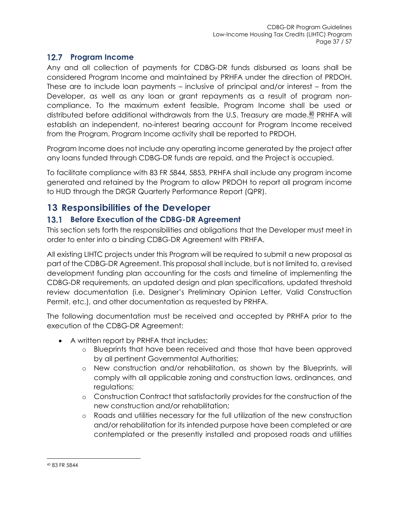## <span id="page-36-0"></span>12.7 Program Income

Any and all collection of payments for CDBG-DR funds disbursed as loans shall be considered Program Income and maintained by PRHFA under the direction of PRDOH. These are to include loan payments – inclusive of principal and/or interest – from the Developer, as well as any loan or grant repayments as a result of program noncompliance. To the maximum extent feasible, Program Income shall be used or distributed before additional withdrawals from the U.S. Treasury are made.[40](#page-36-3) PRHFA will establish an independent, no-interest bearing account for Program Income received from the Program. Program Income activity shall be reported to PRDOH.

Program Income does not include any operating income generated by the project after any loans funded through CDBG-DR funds are repaid, and the Project is occupied.

To facilitate compliance with 83 FR 5844, 5853, PRHFA shall include any program income generated and retained by the Program to allow PRDOH to report all program income to HUD through the DRGR Quarterly Performance Report (QPR).

# <span id="page-36-1"></span>**13 Responsibilities of the Developer**

## <span id="page-36-2"></span>13.1 Before Execution of the CDBG-DR Agreement

This section sets forth the responsibilities and obligations that the Developer must meet in order to enter into a binding CDBG-DR Agreement with PRHFA.

All existing LIHTC projects under this Program will be required to submit a new proposal as part of the CDBG-DR Agreement. This proposal shall include, but is not limited to, a revised development funding plan accounting for the costs and timeline of implementing the CDBG-DR requirements, an updated design and plan specifications, updated threshold review documentation (i.e. Designer's Preliminary Opinion Letter, Valid Construction Permit, etc.), and other documentation as requested by PRHFA.

The following documentation must be received and accepted by PRHFA prior to the execution of the CDBG-DR Agreement:

- A written report by PRHFA that includes:
	- o Blueprints that have been received and those that have been approved by all pertinent Governmental Authorities;
	- o New construction and/or rehabilitation, as shown by the Blueprints, will comply with all applicable zoning and construction laws, ordinances, and regulations;
	- o Construction Contract that satisfactorily provides for the construction of the new construction and/or rehabilitation;
	- o Roads and utilities necessary for the full utilization of the new construction and/or rehabilitation for its intended purpose have been completed or are contemplated or the presently installed and proposed roads and utilities

<span id="page-36-3"></span><sup>40</sup> 83 FR 5844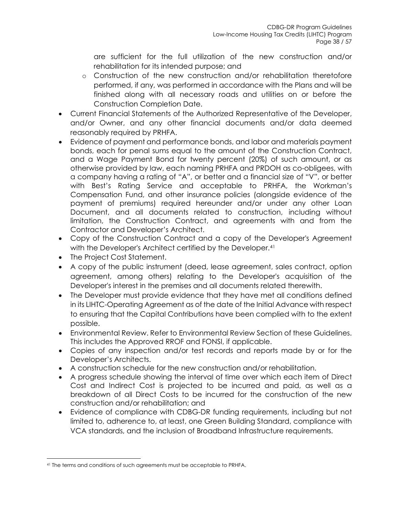are sufficient for the full utilization of the new construction and/or rehabilitation for its intended purpose; and

- o Construction of the new construction and/or rehabilitation theretofore performed, if any, was performed in accordance with the Plans and will be finished along with all necessary roads and utilities on or before the Construction Completion Date.
- Current Financial Statements of the Authorized Representative of the Developer, and/or Owner, and any other financial documents and/or data deemed reasonably required by PRHFA.
- Evidence of payment and performance bonds, and labor and materials payment bonds, each for penal sums equal to the amount of the Construction Contract, and a Wage Payment Bond for twenty percent (20%) of such amount, or as otherwise provided by law, each naming PRHFA and PRDOH as co-obligees, with a company having a rating of "A", or better and a financial size of "V", or better with Best's Rating Service and acceptable to PRHFA, the Workman's Compensation Fund, and other insurance policies (alongside evidence of the payment of premiums) required hereunder and/or under any other Loan Document, and all documents related to construction, including without limitation, the Construction Contract, and agreements with and from the Contractor and Developer's Architect.
- Copy of the Construction Contract and a copy of the Developer's Agreement with the Developer's Architect certified by the Developer.<sup>[41](#page-37-0)</sup>
- The Project Cost Statement.
- A copy of the public instrument (deed, lease agreement, sales contract, option agreement, among others) relating to the Developer's acquisition of the Developer's interest in the premises and all documents related therewith.
- The Developer must provide evidence that they have met all conditions defined in its LIHTC-Operating Agreement as of the date of the Initial Advance with respect to ensuring that the Capital Contributions have been complied with to the extent possible.
- Environmental Review. Refer to Environmental Review Section of these Guidelines. This includes the Approved RROF and FONSI, if applicable.
- Copies of any inspection and/or test records and reports made by or for the Developer's Architects.
- A construction schedule for the new construction and/or rehabilitation.
- A progress schedule showing the interval of time over which each item of Direct Cost and Indirect Cost is projected to be incurred and paid, as well as a breakdown of all Direct Costs to be incurred for the construction of the new construction and/or rehabilitation; and
- Evidence of compliance with CDBG-DR funding requirements, including but not limited to, adherence to, at least, one Green Building Standard, compliance with VCA standards, and the inclusion of Broadband Infrastructure requirements.

<span id="page-37-0"></span><sup>41</sup> The terms and conditions of such agreements must be acceptable to PRHFA.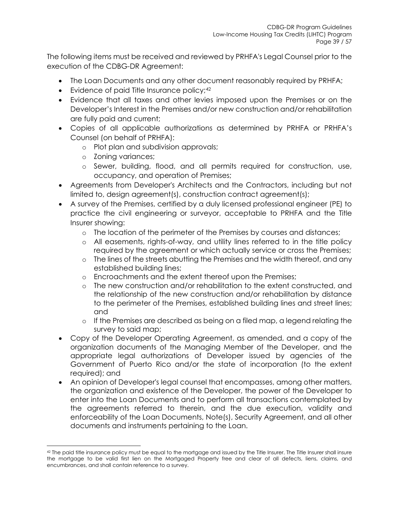The following items must be received and reviewed by PRHFA's Legal Counsel prior to the execution of the CDBG-DR Agreement:

- The Loan Documents and any other document reasonably required by PRHFA;
- Evidence of paid Title Insurance policy;<sup>[42](#page-38-0)</sup>
- Evidence that all taxes and other levies imposed upon the Premises or on the Developer's Interest in the Premises and/or new construction and/or rehabilitation are fully paid and current;
- Copies of all applicable authorizations as determined by PRHFA or PRHFA's Counsel (on behalf of PRHFA):
	- o Plot plan and subdivision approvals;
	- o Zoning variances;
	- o Sewer, building, flood, and all permits required for construction, use, occupancy, and operation of Premises;
- Agreements from Developer's Architects and the Contractors, including but not limited to, design agreement(s), construction contract agreement(s);
- A survey of the Premises, certified by a duly licensed professional engineer (PE) to practice the civil engineering or surveyor, acceptable to PRHFA and the Title Insurer showing:
	- o The location of the perimeter of the Premises by courses and distances;
	- o All easements, rights-of-way, and utility lines referred to in the title policy required by the agreement or which actually service or cross the Premises;
	- o The lines of the streets abutting the Premises and the width thereof, and any established building lines;
	- o Encroachments and the extent thereof upon the Premises;
	- o The new construction and/or rehabilitation to the extent constructed, and the relationship of the new construction and/or rehabilitation by distance to the perimeter of the Premises, established building lines and street lines; and
	- o If the Premises are described as being on a filed map, a legend relating the survey to said map;
- Copy of the Developer Operating Agreement, as amended, and a copy of the organization documents of the Managing Member of the Developer, and the appropriate legal authorizations of Developer issued by agencies of the Government of Puerto Rico and/or the state of incorporation (to the extent required); and
- An opinion of Developer's legal counsel that encompasses, among other matters, the organization and existence of the Developer, the power of the Developer to enter into the Loan Documents and to perform all transactions contemplated by the agreements referred to therein, and the due execution, validity and enforceability of the Loan Documents, Note(s), Security Agreement, and all other documents and instruments pertaining to the Loan.

<span id="page-38-0"></span><sup>42</sup> The paid title insurance policy must be equal to the mortgage and issued by the Title Insurer. The Title Insurer shall insure the mortgage to be valid first lien on the Mortgaged Property free and clear of all defects, liens, claims, and encumbrances, and shall contain reference to a survey.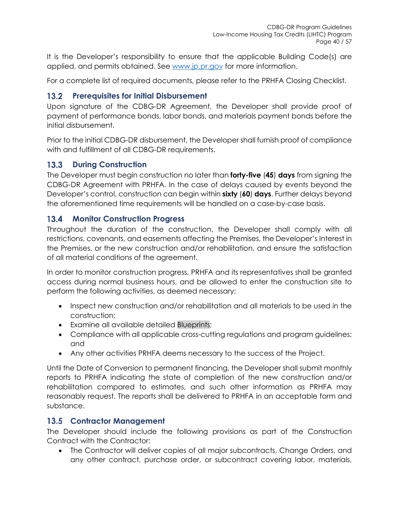It is the Developer's responsibility to ensure that the applicable Building Code(s) are applied, and permits obtained. See [www.jp.pr.gov](http://www.jp.pr.gov/) for more information.

For a complete list of required documents, please refer to the PRHFA Closing Checklist.

## <span id="page-39-0"></span>**13.2 Prerequisites for Initial Disbursement**

Upon signature of the CDBG-DR Agreement, the Developer shall provide proof of payment of performance bonds, labor bonds, and materials payment bonds before the initial disbursement.

Prior to the initial CDBG-DR disbursement, the Developer shall furnish proof of compliance with and fulfillment of all CDBG-DR requirements.

## <span id="page-39-1"></span>**13.3 During Construction**

The Developer must begin construction no later than **forty-five** (**45**) **days** from signing the CDBG-DR Agreement with PRHFA. In the case of delays caused by events beyond the Developer's control, construction can begin within **sixty** (**60**) **days**. Further delays beyond the aforementioned time requirements will be handled on a case-by-case basis.

### <span id="page-39-2"></span> **13.4 Monitor Construction Progress**

Throughout the duration of the construction, the Developer shall comply with all restrictions, covenants, and easements affecting the Premises, the Developer's Interest in the Premises, or the new construction and/or rehabilitation, and ensure the satisfaction of all material conditions of the agreement.

In order to monitor construction progress, PRHFA and its representatives shall be granted access during normal business hours, and be allowed to enter the construction site to perform the following activities, as deemed necessary:

- Inspect new construction and/or rehabilitation and all materials to be used in the construction;
- Examine all available detailed Blueprints;
- Compliance with all applicable cross-cutting regulations and program guidelines; and
- Any other activities PRHFA deems necessary to the success of the Project.

Until the Date of Conversion to permanent financing, the Developer shall submit monthly reports to PRHFA indicating the state of completion of the new construction and/or rehabilitation compared to estimates, and such other information as PRHFA may reasonably request. The reports shall be delivered to PRHFA in an acceptable form and substance.

## <span id="page-39-3"></span>**Contractor Management**

The Developer should include the following provisions as part of the Construction Contract with the Contractor:

• The Contractor will deliver copies of all major subcontracts, Change Orders, and any other contract, purchase order, or subcontract covering labor, materials,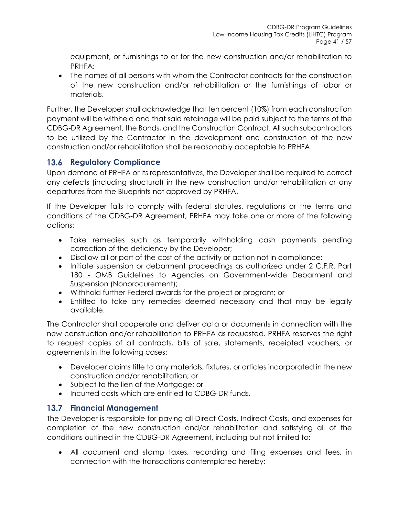equipment, or furnishings to or for the new construction and/or rehabilitation to PRHFA;

• The names of all persons with whom the Contractor contracts for the construction of the new construction and/or rehabilitation or the furnishings of labor or materials.

Further, the Developer shall acknowledge that ten percent (10%) from each construction payment will be withheld and that said retainage will be paid subject to the terms of the CDBG-DR Agreement, the Bonds, and the Construction Contract. All such subcontractors to be utilized by the Contractor in the development and construction of the new construction and/or rehabilitation shall be reasonably acceptable to PRHFA.

### <span id="page-40-0"></span>**13.6 Regulatory Compliance**

Upon demand of PRHFA or its representatives, the Developer shall be required to correct any defects (including structural) in the new construction and/or rehabilitation or any departures from the Blueprints not approved by PRHFA.

If the Developer fails to comply with federal statutes, regulations or the terms and conditions of the CDBG-DR Agreement, PRHFA may take one or more of the following actions:

- Take remedies such as temporarily withholding cash payments pending correction of the deficiency by the Developer;
- Disallow all or part of the cost of the activity or action not in compliance;
- Initiate suspension or debarment proceedings as authorized under 2 C.F.R. Part 180 - OMB Guidelines to Agencies on Government-wide Debarment and Suspension (Nonprocurement);
- Withhold further Federal awards for the project or program; or
- Entitled to take any remedies deemed necessary and that may be legally available.

The Contractor shall cooperate and deliver data or documents in connection with the new construction and/or rehabilitation to PRHFA as requested. PRHFA reserves the right to request copies of all contracts, bills of sale, statements, receipted vouchers, or agreements in the following cases:

- Developer claims title to any materials, fixtures, or articles incorporated in the new construction and/or rehabilitation; or
- Subject to the lien of the Mortgage; or
- Incurred costs which are entitled to CDBG-DR funds.

## <span id="page-40-1"></span>**Financial Management**

The Developer is responsible for paying all Direct Costs, Indirect Costs, and expenses for completion of the new construction and/or rehabilitation and satisfying all of the conditions outlined in the CDBG-DR Agreement, including but not limited to:

• All document and stamp taxes, recording and filing expenses and fees, in connection with the transactions contemplated hereby;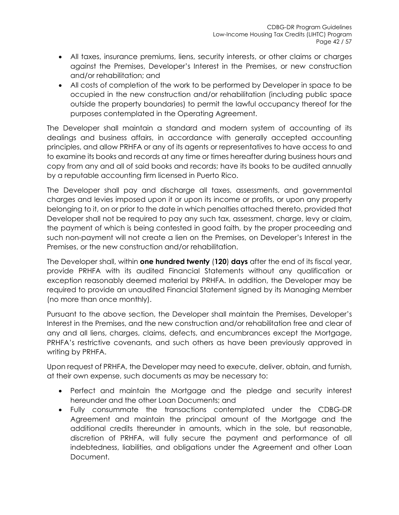- All taxes, insurance premiums, liens, security interests, or other claims or charges against the Premises, Developer's Interest in the Premises, or new construction and/or rehabilitation; and
- All costs of completion of the work to be performed by Developer in space to be occupied in the new construction and/or rehabilitation (including public space outside the property boundaries) to permit the lawful occupancy thereof for the purposes contemplated in the Operating Agreement.

The Developer shall maintain a standard and modern system of accounting of its dealings and business affairs, in accordance with generally accepted accounting principles, and allow PRHFA or any of its agents or representatives to have access to and to examine its books and records at any time or times hereafter during business hours and copy from any and all of said books and records; have its books to be audited annually by a reputable accounting firm licensed in Puerto Rico.

The Developer shall pay and discharge all taxes, assessments, and governmental charges and levies imposed upon it or upon its income or profits, or upon any property belonging to it, on or prior to the date in which penalties attached thereto, provided that Developer shall not be required to pay any such tax, assessment, charge, levy or claim, the payment of which is being contested in good faith, by the proper proceeding and such non-payment will not create a lien on the Premises, on Developer's Interest in the Premises, or the new construction and/or rehabilitation.

The Developer shall, within **one hundred twenty** (**120**) **days** after the end of its fiscal year, provide PRHFA with its audited Financial Statements without any qualification or exception reasonably deemed material by PRHFA. In addition, the Developer may be required to provide an unaudited Financial Statement signed by its Managing Member (no more than once monthly).

Pursuant to the above section, the Developer shall maintain the Premises, Developer's Interest in the Premises, and the new construction and/or rehabilitation free and clear of any and all liens, charges, claims, defects, and encumbrances except the Mortgage, PRHFA's restrictive covenants, and such others as have been previously approved in writing by PRHFA.

Upon request of PRHFA, the Developer may need to execute, deliver, obtain, and furnish, at their own expense, such documents as may be necessary to:

- Perfect and maintain the Mortgage and the pledge and security interest hereunder and the other Loan Documents; and
- Fully consummate the transactions contemplated under the CDBG-DR Agreement and maintain the principal amount of the Mortgage and the additional credits thereunder in amounts, which in the sole, but reasonable, discretion of PRHFA, will fully secure the payment and performance of all indebtedness, liabilities, and obligations under the Agreement and other Loan Document.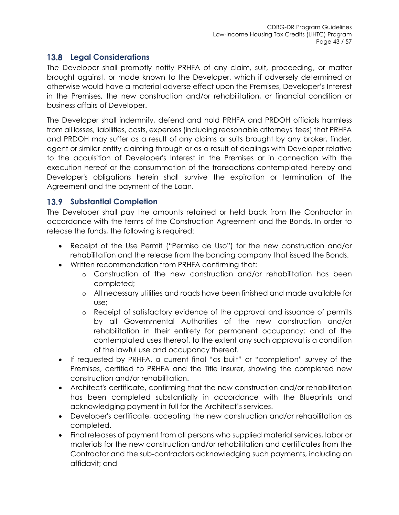## <span id="page-42-0"></span>**Legal Considerations**

The Developer shall promptly notify PRHFA of any claim, suit, proceeding, or matter brought against, or made known to the Developer, which if adversely determined or otherwise would have a material adverse effect upon the Premises, Developer's Interest in the Premises, the new construction and/or rehabilitation, or financial condition or business affairs of Developer.

The Developer shall indemnify, defend and hold PRHFA and PRDOH officials harmless from all losses, liabilities, costs, expenses (including reasonable attorneys' fees) that PRHFA and PRDOH may suffer as a result of any claims or suits brought by any broker, finder, agent or similar entity claiming through or as a result of dealings with Developer relative to the acquisition of Developer's Interest in the Premises or in connection with the execution hereof or the consummation of the transactions contemplated hereby and Developer's obligations herein shall survive the expiration or termination of the Agreement and the payment of the Loan.

## <span id="page-42-1"></span>**13.9 Substantial Completion**

The Developer shall pay the amounts retained or held back from the Contractor in accordance with the terms of the Construction Agreement and the Bonds. In order to release the funds, the following is required:

- Receipt of the Use Permit ("Permiso de Uso") for the new construction and/or rehabilitation and the release from the bonding company that issued the Bonds.
- Written recommendation from PRHFA confirming that:
	- o Construction of the new construction and/or rehabilitation has been completed;
	- o All necessary utilities and roads have been finished and made available for use;
	- o Receipt of satisfactory evidence of the approval and issuance of permits by all Governmental Authorities of the new construction and/or rehabilitation in their entirety for permanent occupancy; and of the contemplated uses thereof, to the extent any such approval is a condition of the lawful use and occupancy thereof.
- If requested by PRHFA, a current final "as built" or "completion" survey of the Premises, certified to PRHFA and the Title Insurer, showing the completed new construction and/or rehabilitation.
- Architect's certificate, confirming that the new construction and/or rehabilitation has been completed substantially in accordance with the Blueprints and acknowledging payment in full for the Architect's services.
- Developer's certificate, accepting the new construction and/or rehabilitation as completed.
- Final releases of payment from all persons who supplied material services, labor or materials for the new construction and/or rehabilitation and certificates from the Contractor and the sub-contractors acknowledging such payments, including an affidavit; and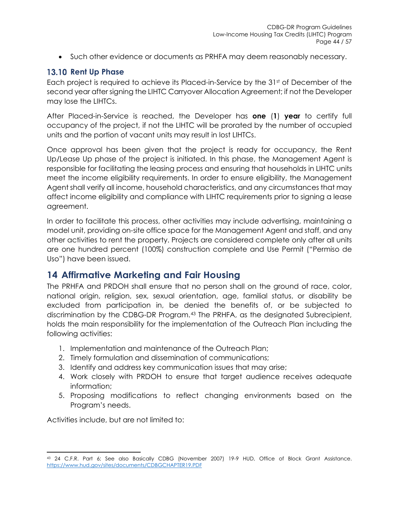• Such other evidence or documents as PRHFA may deem reasonably necessary.

## <span id="page-43-0"></span>13.10 Rent Up Phase

Each project is required to achieve its Placed-in-Service by the 31<sup>st</sup> of December of the second year after signing the LIHTC Carryover Allocation Agreement; if not the Developer may lose the LIHTCs.

After Placed-in-Service is reached, the Developer has **one** (**1**) **year** to certify full occupancy of the project, if not the LIHTC will be prorated by the number of occupied units and the portion of vacant units may result in lost LIHTCs.

Once approval has been given that the project is ready for occupancy, the Rent Up/Lease Up phase of the project is initiated. In this phase, the Management Agent is responsible for facilitating the leasing process and ensuring that households in LIHTC units meet the income eligibility requirements. In order to ensure eligibility, the Management Agent shall verify all income, household characteristics, and any circumstances that may affect income eligibility and compliance with LIHTC requirements prior to signing a lease agreement.

In order to facilitate this process, other activities may include advertising, maintaining a model unit, providing on-site office space for the Management Agent and staff, and any other activities to rent the property. Projects are considered complete only after all units are one hundred percent (100%) construction complete and Use Permit ("Permiso de Uso") have been issued.

## <span id="page-43-1"></span>**14 Affirmative Marketing and Fair Housing**

The PRHFA and PRDOH shall ensure that no person shall on the ground of race, color, national origin, religion, sex, sexual orientation, age, familial status, or disability be excluded from participation in, be denied the benefits of, or be subjected to discrimination by the CDBG-DR Program.[43](#page-43-2) The PRHFA, as the designated Subrecipient, holds the main responsibility for the implementation of the Outreach Plan including the following activities:

- 1. Implementation and maintenance of the Outreach Plan;
- 2. Timely formulation and dissemination of communications;
- 3. Identify and address key communication issues that may arise;
- 4. Work closely with PRDOH to ensure that target audience receives adequate information;
- 5. Proposing modifications to reflect changing environments based on the Program's needs.

Activities include, but are not limited to:

<span id="page-43-2"></span><sup>43</sup> 24 C.F.R. Part 6; See also Basically CDBG (November 2007) 19-9 HUD, Office of Block Grant Assistance. <https://www.hud.gov/sites/documents/CDBGCHAPTER19.PDF>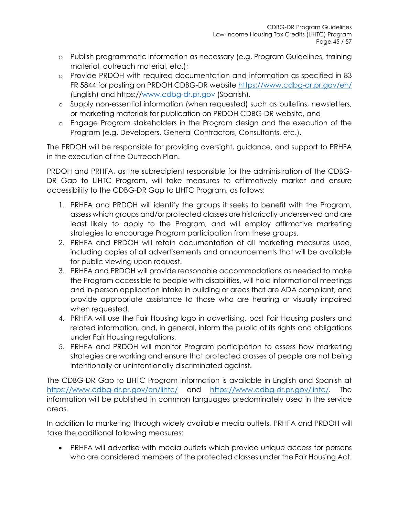- o Publish programmatic information as necessary (e.g. Program Guidelines, training material, outreach material, etc.);
- o Provide PRDOH with required documentation and information as specified in 83 FR 5844 for posting on PRDOH CDBG-DR website<https://www.cdbg-dr.pr.gov/en/> (English) and https:/[/www.cdbg-dr.pr.gov](http://www.cdbg-dr.pr.gov/) (Spanish).
- o Supply non-essential information (when requested) such as bulletins, newsletters, or marketing materials for publication on PRDOH CDBG-DR website, and
- o Engage Program stakeholders in the Program design and the execution of the Program (e.g. Developers, General Contractors, Consultants, etc.).

The PRDOH will be responsible for providing oversight, guidance, and support to PRHFA in the execution of the Outreach Plan.

PRDOH and PRHFA, as the subrecipient responsible for the administration of the CDBG-DR Gap to LIHTC Program, will take measures to affirmatively market and ensure accessibility to the CDBG-DR Gap to LIHTC Program, as follows:

- 1. PRHFA and PRDOH will identify the groups it seeks to benefit with the Program, assess which groups and/or protected classes are historically underserved and are least likely to apply to the Program, and will employ affirmative marketing strategies to encourage Program participation from these groups.
- 2. PRHFA and PRDOH will retain documentation of all marketing measures used, including copies of all advertisements and announcements that will be available for public viewing upon request.
- 3. PRHFA and PRDOH will provide reasonable accommodations as needed to make the Program accessible to people with disabilities, will hold informational meetings and in-person application intake in building or areas that are ADA compliant, and provide appropriate assistance to those who are hearing or visually impaired when requested.
- 4. PRHFA will use the Fair Housing logo in advertising, post Fair Housing posters and related information, and, in general, inform the public of its rights and obligations under Fair Housing regulations.
- 5. PRHFA and PRDOH will monitor Program participation to assess how marketing strategies are working and ensure that protected classes of people are not being intentionally or unintentionally discriminated against.

The CDBG-DR Gap to LIHTC Program information is available in English and Spanish at <https://www.cdbg-dr.pr.gov/en/lihtc/> and [https://www.cdbg-dr.pr.gov/lihtc/.](https://www.cdbg-dr.pr.gov/lihtc/) The information will be published in common languages predominately used in the service areas.

In addition to marketing through widely available media outlets, PRHFA and PRDOH will take the additional following measures:

• PRHFA will advertise with media outlets which provide unique access for persons who are considered members of the protected classes under the Fair Housing Act.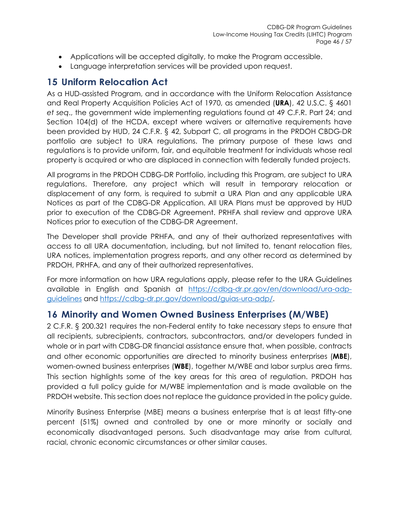- Applications will be accepted digitally, to make the Program accessible.
- Language interpretation services will be provided upon request.

# <span id="page-45-0"></span>**15 Uniform Relocation Act**

As a HUD-assisted Program, and in accordance with the Uniform Relocation Assistance and Real Property Acquisition Policies Act of 1970, as amended (**URA**), 42 U.S.C. § 4601 *et seq*., the government wide implementing regulations found at 49 C.F.R. Part 24; and Section 104(d) of the HCDA, except where waivers or alternative requirements have been provided by HUD, 24 C.F.R. § 42, Subpart C, all programs in the PRDOH CBDG-DR portfolio are subject to URA regulations. The primary purpose of these laws and regulations is to provide uniform, fair, and equitable treatment for individuals whose real property is acquired or who are displaced in connection with federally funded projects.

All programs in the PRDOH CDBG-DR Portfolio, including this Program, are subject to URA regulations. Therefore, any project which will result in temporary relocation or displacement of any form, is required to submit a URA Plan and any applicable URA Notices as part of the CDBG-DR Application. All URA Plans must be approved by HUD prior to execution of the CDBG-DR Agreement. PRHFA shall review and approve URA Notices prior to execution of the CDBG-DR Agreement.

The Developer shall provide PRHFA, and any of their authorized representatives with access to all URA documentation, including, but not limited to, tenant relocation files, URA notices, implementation progress reports, and any other record as determined by PRDOH, PRHFA, and any of their authorized representatives.

For more information on how URA regulations apply, please refer to the URA Guidelines available in English and Spanish at [https://cdbg-dr.pr.gov/en/download/ura-adp](https://cdbg-dr.pr.gov/en/download/ura-adp-guidelines)[guidelines](https://cdbg-dr.pr.gov/en/download/ura-adp-guidelines) and [https://cdbg-dr.pr.gov/download/guias-ura-adp/.](https://cdbg-dr.pr.gov/download/guias-ura-adp/)

## <span id="page-45-1"></span>**16 Minority and Women Owned Business Enterprises (M/WBE)**

2 C.F.R. § 200.321 requires the non-Federal entity to take necessary steps to ensure that all recipients, subrecipients, contractors, subcontractors, and/or developers funded in whole or in part with CDBG-DR financial assistance ensure that, when possible, contracts and other economic opportunities are directed to minority business enterprises (**MBE**), women-owned business enterprises (**WBE**), together M/WBE and labor surplus area firms. This section highlights some of the key areas for this area of regulation. PRDOH has provided a full policy guide for M/WBE implementation and is made available on the PRDOH website. This section does not replace the guidance provided in the policy guide.

Minority Business Enterprise (MBE) means a business enterprise that is at least fifty-one percent (51%) owned and controlled by one or more minority or socially and economically disadvantaged persons. Such disadvantage may arise from cultural, racial, chronic economic circumstances or other similar causes.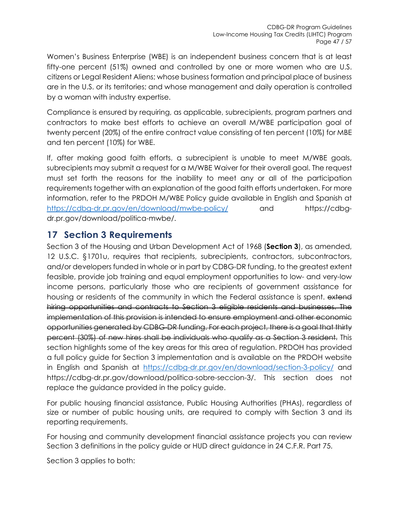Women's Business Enterprise (WBE) is an independent business concern that is at least fifty-one percent (51%) owned and controlled by one or more women who are U.S. citizens or Legal Resident Aliens; whose business formation and principal place of business are in the U.S. or its territories; and whose management and daily operation is controlled by a woman with industry expertise.

Compliance is ensured by requiring, as applicable, subrecipients, program partners and contractors to make best efforts to achieve an overall M/WBE participation goal of twenty percent (20%) of the entire contract value consisting of ten percent (10%) for MBE and ten percent (10%) for WBE.

If, after making good faith efforts, a subrecipient is unable to meet M/WBE goals, subrecipients may submit a request for a M/WBE Waiver for their overall goal. The request must set forth the reasons for the inability to meet any or all of the participation requirements together with an explanation of the good faith efforts undertaken. For more information, refer to the PRDOH M/WBE Policy guide available in English and Spanish at <https://cdbg-dr.pr.gov/en/download/mwbe-policy/> and https://cdbgdr.pr.gov/download/politica-mwbe/.

# <span id="page-46-0"></span>**17 Section 3 Requirements**

Section 3 of the Housing and Urban Development Act of 1968 (**Section 3**), as amended, 12 U.S.C. §1701u, requires that recipients, subrecipients, contractors, subcontractors, and/or developers funded in whole or in part by CDBG-DR funding, to the greatest extent feasible, provide job training and equal employment opportunities to low- and very-low income persons, particularly those who are recipients of government assistance for housing or residents of the community in which the Federal assistance is spent. extend hiring opportunities and contracts to Section 3 eligible residents and businesses. The implementation of this provision is intended to ensure employment and other economic opportunities generated by CDBG-DR funding. For each project, there is a goal that thirty percent (30%) of new hires shall be individuals who qualify as a Section 3 resident. This section highlights some of the key areas for this area of regulation. PRDOH has provided a full policy guide for Section 3 implementation and is available on the PRDOH website in English and Spanish at <https://cdbg-dr.pr.gov/en/download/section-3-policy/> and https://cdbg-dr.pr.gov/download/politica-sobre-seccion-3/. This section does not replace the guidance provided in the policy guide.

For public housing financial assistance, Public Housing Authorities (PHAs), regardless of size or number of public housing units, are required to comply with Section 3 and its reporting requirements.

For housing and community development financial assistance projects you can review Section 3 definitions in the policy guide or HUD direct guidance in 24 C.F.R. Part 75.

Section 3 applies to both: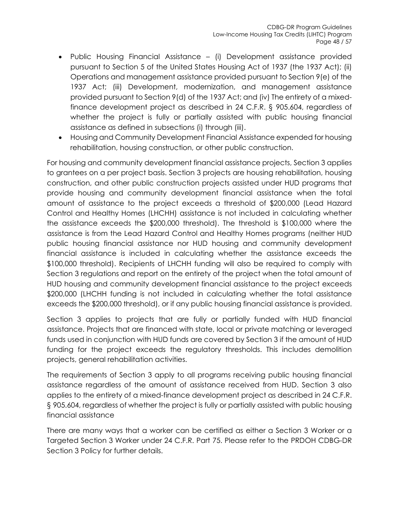- Public Housing Financial Assistance (i) Development assistance provided pursuant to Section 5 of the United States Housing Act of 1937 (the 1937 Act); (ii) Operations and management assistance provided pursuant to Section 9(e) of the 1937 Act; (iii) Development, modernization, and management assistance provided pursuant to Section 9(d) of the 1937 Act; and (iv) The entirety of a mixedfinance development project as described in 24 C.F.R. § 905.604, regardless of whether the project is fully or partially assisted with public housing financial assistance as defined in subsections (i) through (iii).
- Housing and Community Development Financial Assistance expended for housing rehabilitation, housing construction, or other public construction.

For housing and community development financial assistance projects, Section 3 applies to grantees on a per project basis. Section 3 projects are housing rehabilitation, housing construction, and other public construction projects assisted under HUD programs that provide housing and community development financial assistance when the total amount of assistance to the project exceeds a threshold of \$200,000 (Lead Hazard Control and Healthy Homes (LHCHH) assistance is not included in calculating whether the assistance exceeds the \$200,000 threshold). The threshold is \$100,000 where the assistance is from the Lead Hazard Control and Healthy Homes programs (neither HUD public housing financial assistance nor HUD housing and community development financial assistance is included in calculating whether the assistance exceeds the \$100,000 threshold). Recipients of LHCHH funding will also be required to comply with Section 3 regulations and report on the entirety of the project when the total amount of HUD housing and community development financial assistance to the project exceeds \$200,000 (LHCHH funding is not included in calculating whether the total assistance exceeds the \$200,000 threshold), or if any public housing financial assistance is provided.

Section 3 applies to projects that are fully or partially funded with HUD financial assistance. Projects that are financed with state, local or private matching or leveraged funds used in conjunction with HUD funds are covered by Section 3 if the amount of HUD funding for the project exceeds the regulatory thresholds. This includes demolition projects, general rehabilitation activities.

The requirements of Section 3 apply to all programs receiving public housing financial assistance regardless of the amount of assistance received from HUD. Section 3 also applies to the entirety of a mixed-finance development project as described in 24 C.F.R. § 905.604, regardless of whether the project is fully or partially assisted with public housing financial assistance

There are many ways that a worker can be certified as either a Section 3 Worker or a Targeted Section 3 Worker under 24 C.F.R. Part 75. Please refer to the PRDOH CDBG-DR Section 3 Policy for further details.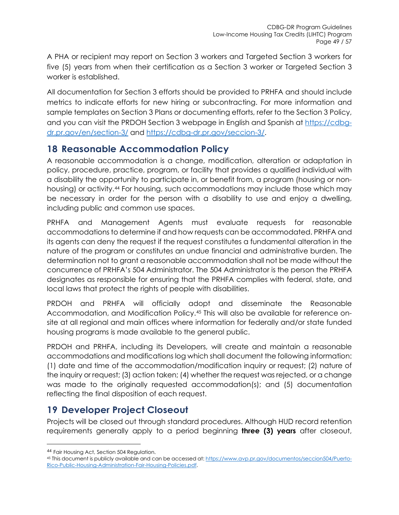A PHA or recipient may report on Section 3 workers and Targeted Section 3 workers for five (5) years from when their certification as a Section 3 worker or Targeted Section 3 worker is established.

All documentation for Section 3 efforts should be provided to PRHFA and should include metrics to indicate efforts for new hiring or subcontracting. For more information and sample templates on Section 3 Plans or documenting efforts, refer to the Section 3 Policy, and you can visit the PRDOH Section 3 webpage in English and Spanish at [https://cdbg](https://cdbg-dr.pr.gov/en/section-3/)[dr.pr.gov/en/section-3/](https://cdbg-dr.pr.gov/en/section-3/) and [https://cdbg-dr.pr.gov/seccion-3/.](https://cdbg-dr.pr.gov/seccion-3/)

# <span id="page-48-0"></span>**18 Reasonable Accommodation Policy**

A reasonable accommodation is a change, modification, alteration or adaptation in policy, procedure, practice, program, or facility that provides a qualified individual with a disability the opportunity to participate in, or benefit from, a program (housing or nonhousing) or activity.[44](#page-48-2) For housing, such accommodations may include those which may be necessary in order for the person with a disability to use and enjoy a dwelling, including public and common use spaces.

PRHFA and Management Agents must evaluate requests for reasonable accommodations to determine if and how requests can be accommodated. PRHFA and its agents can deny the request if the request constitutes a fundamental alteration in the nature of the program or constitutes an undue financial and administrative burden. The determination not to grant a reasonable accommodation shall not be made without the concurrence of PRHFA's 504 Administrator. The 504 Administrator is the person the PRHFA designates as responsible for ensuring that the PRHFA complies with federal, state, and local laws that protect the rights of people with disabilities.

PRDOH and PRHFA will officially adopt and disseminate the Reasonable Accommodation, and Modification Policy.[45](#page-48-3) This will also be available for reference onsite at all regional and main offices where information for federally and/or state funded housing programs is made available to the general public.

PRDOH and PRHFA, including its Developers, will create and maintain a reasonable accommodations and modifications log which shall document the following information: (1) date and time of the accommodation/modification inquiry or request; (2) nature of the inquiry or request; (3) action taken; (4) whether the request was rejected, or a change was made to the originally requested accommodation(s); and (5) documentation reflecting the final disposition of each request.

# <span id="page-48-1"></span>**19 Developer Project Closeout**

Projects will be closed out through standard procedures. Although HUD record retention requirements generally apply to a period beginning **three (3) years** after closeout,

<span id="page-48-2"></span><sup>44</sup> Fair Housing Act, Section 504 Regulation.

<span id="page-48-3"></span><sup>45</sup> This document is publicly available and can be accessed at[: https://www.avp.pr.gov/documentos/seccion504/Puerto-](https://www.avp.pr.gov/documentos/seccion504/Puerto-Rico-Public-Housing-Administration-Fair-Housing-Policies.pdf)[Rico-Public-Housing-Administration-Fair-Housing-Policies.pdf.](https://www.avp.pr.gov/documentos/seccion504/Puerto-Rico-Public-Housing-Administration-Fair-Housing-Policies.pdf)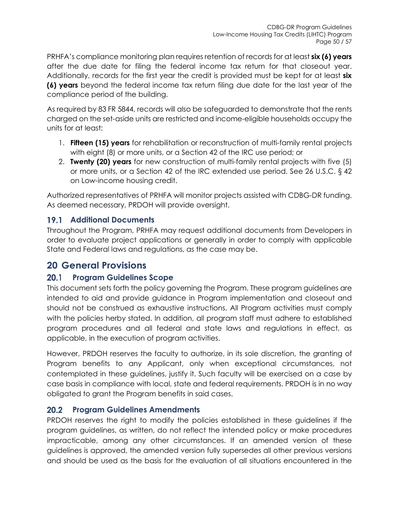PRHFA's compliance monitoring plan requires retention of records for at least **six (6) years** after the due date for filing the federal income tax return for that closeout year. Additionally, records for the first year the credit is provided must be kept for at least **six (6) years** beyond the federal income tax return filing due date for the last year of the compliance period of the building.

As required by 83 FR 5844, records will also be safeguarded to demonstrate that the rents charged on the set-aside units are restricted and income-eligible households occupy the units for at least:

- 1. **Fifteen (15) years** for rehabilitation or reconstruction of multi-family rental projects with eight (8) or more units, or a Section 42 of the IRC use period; or
- 2. **Twenty (20) years** for new construction of multi-family rental projects with five (5) or more units, or a Section 42 of the IRC extended use period. See 26 U.S.C. § 42 on Low-income housing credit.

Authorized representatives of PRHFA will monitor projects assisted with CDBG-DR funding. As deemed necessary, PRDOH will provide oversight.

## <span id="page-49-0"></span>**Additional Documents**

Throughout the Program, PRHFA may request additional documents from Developers in order to evaluate project applications or generally in order to comply with applicable State and Federal laws and regulations, as the case may be.

# <span id="page-49-1"></span>**20 General Provisions**

#### <span id="page-49-2"></span> $20.1$ **Program Guidelines Scope**

This document sets forth the policy governing the Program. These program guidelines are intended to aid and provide guidance in Program implementation and closeout and should not be construed as exhaustive instructions. All Program activities must comply with the policies herby stated. In addition, all program staff must adhere to established program procedures and all federal and state laws and regulations in effect, as applicable, in the execution of program activities.

However, PRDOH reserves the faculty to authorize, in its sole discretion, the granting of Program benefits to any Applicant, only when exceptional circumstances, not contemplated in these guidelines, justify it. Such faculty will be exercised on a case by case basis in compliance with local, state and federal requirements. PRDOH is in no way obligated to grant the Program benefits in said cases.

#### <span id="page-49-3"></span> $20.2$ **Program Guidelines Amendments**

PRDOH reserves the right to modify the policies established in these guidelines if the program guidelines, as written, do not reflect the intended policy or make procedures impracticable, among any other circumstances. If an amended version of these guidelines is approved, the amended version fully supersedes all other previous versions and should be used as the basis for the evaluation of all situations encountered in the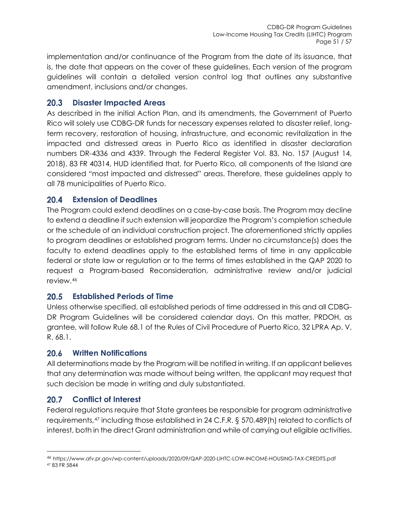implementation and/or continuance of the Program from the date of its issuance, that is, the date that appears on the cover of these guidelines. Each version of the program guidelines will contain a detailed version control log that outlines any substantive amendment, inclusions and/or changes.

#### <span id="page-50-0"></span> $20.3$ **Disaster Impacted Areas**

As described in the initial Action Plan, and its amendments, the Government of Puerto Rico will solely use CDBG-DR funds for necessary expenses related to disaster relief, longterm recovery, restoration of housing, infrastructure, and economic revitalization in the impacted and distressed areas in Puerto Rico as identified in disaster declaration numbers DR-4336 and 4339. Through the Federal Register Vol. 83, No. 157 (August 14, 2018), 83 FR 40314, HUD identified that, for Puerto Rico, all components of the Island are considered "most impacted and distressed" areas. Therefore, these guidelines apply to all 78 municipalities of Puerto Rico.

#### <span id="page-50-1"></span>**Extension of Deadlines**

The Program could extend deadlines on a case-by-case basis. The Program may decline to extend a deadline if such extension will jeopardize the Program's completion schedule or the schedule of an individual construction project. The aforementioned strictly applies to program deadlines or established program terms. Under no circumstance(s) does the faculty to extend deadlines apply to the established terms of time in any applicable federal or state law or regulation or to the terms of times established in the QAP 2020 to request a Program-based Reconsideration, administrative review and/or judicial review.[46](#page-50-5)

#### <span id="page-50-2"></span>**Established Periods of Time**

Unless otherwise specified, all established periods of time addressed in this and all CDBG-DR Program Guidelines will be considered calendar days. On this matter, PRDOH, as grantee, will follow Rule 68.1 of the Rules of Civil Procedure of Puerto Rico, 32 LPRA Ap. V, R. 68.1.

#### <span id="page-50-3"></span> $20.6$ **Written Notifications**

All determinations made by the Program will be notified in writing. If an applicant believes that any determination was made without being written, the applicant may request that such decision be made in writing and duly substantiated.

#### <span id="page-50-4"></span> $20.7$ **Conflict of Interest**

Federal regulations require that State grantees be responsible for program administrative requirements,[47](#page-50-6) including those established in 24 C.F.R. § 570.489(h) related to conflicts of interest, both in the direct Grant administration and while of carrying out eligible activities.

<span id="page-50-6"></span><span id="page-50-5"></span><sup>46</sup> https://www.afv.pr.gov/wp-content/uploads/2020/09/QAP-2020-LIHTC-LOW-INCOME-HOUSING-TAX-CREDITS.pdf <sup>47</sup> 83 FR 5844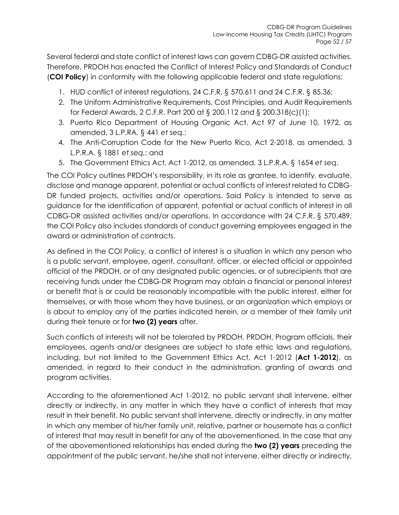Several federal and state conflict of interest laws can govern CDBG-DR assisted activities. Therefore, PRDOH has enacted the Conflict of Interest Policy and Standards of Conduct (**COI Policy**) in conformity with the following applicable federal and state regulations:

- 1. HUD conflict of interest regulations, 24 C.F.R. § 570.611 and 24 C.F.R. § 85.36;
- 2. The Uniform Administrative Requirements, Cost Principles, and Audit Requirements for Federal Awards, 2 C.F.R. Part 200 at § 200.112 and § 200.318(c)(1);
- 3. Puerto Rico Department of Housing Organic Act, Act 97 of June 10, 1972, as amended, 3 L.P.RA. § 441 *et seq.*;
- 4. The Anti-Corruption Code for the New Puerto Rico, Act 2-2018, as amended, 3 L.P.R.A. § 1881 *et seq.*; and
- 5. The Government Ethics Act, Act 1-2012, as amended, 3 L.P.R.A. § 1654 *et seq*.

The COI Policy outlines PRDOH's responsibility, in its role as grantee, to identify, evaluate, disclose and manage apparent, potential or actual conflicts of interest related to CDBG-DR funded projects, activities and/or operations. Said Policy is intended to serve as guidance for the identification of apparent, potential or actual conflicts of interest in all CDBG-DR assisted activities and/or operations. In accordance with 24 C.F.R. § 570.489, the COI Policy also includes standards of conduct governing employees engaged in the award or administration of contracts.

As defined in the COI Policy, a conflict of interest is a situation in which any person who is a public servant, employee, agent, consultant, officer, or elected official or appointed official of the PRDOH, or of any designated public agencies, or of subrecipients that are receiving funds under the CDBG-DR Program may obtain a financial or personal interest or benefit that is or could be reasonably incompatible with the public interest, either for themselves, or with those whom they have business, or an organization which employs or is about to employ any of the parties indicated herein, or a member of their family unit during their tenure or for **two (2) years** after.

Such conflicts of interests will not be tolerated by PRDOH. PRDOH, Program officials, their employees, agents and/or designees are subject to state ethic laws and regulations, including, but not limited to the Government Ethics Act, Act 1-2012 (**Act 1-2012**), as amended, in regard to their conduct in the administration, granting of awards and program activities.

According to the aforementioned Act 1-2012, no public servant shall intervene, either directly or indirectly, in any matter in which they have a conflict of interests that may result in their benefit. No public servant shall intervene, directly or indirectly, in any matter in which any member of his/her family unit, relative, partner or housemate has a conflict of interest that may result in benefit for any of the abovementioned. In the case that any of the abovementioned relationships has ended during the **two (2) years** preceding the appointment of the public servant, he/she shall not intervene, either directly or indirectly,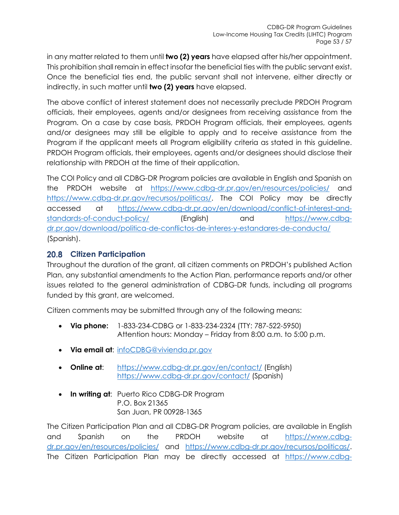in any matter related to them until **two (2) years** have elapsed after his/her appointment. This prohibition shall remain in effect insofar the beneficial ties with the public servant exist. Once the beneficial ties end, the public servant shall not intervene, either directly or indirectly, in such matter until **two (2) years** have elapsed.

The above conflict of interest statement does not necessarily preclude PRDOH Program officials, their employees, agents and/or designees from receiving assistance from the Program. On a case by case basis, PRDOH Program officials, their employees, agents and/or designees may still be eligible to apply and to receive assistance from the Program if the applicant meets all Program eligibility criteria as stated in this guideline. PRDOH Program officials, their employees, agents and/or designees should disclose their relationship with PRDOH at the time of their application.

The COI Policy and all CDBG-DR Program policies are available in English and Spanish on the PRDOH website at <https://www.cdbg-dr.pr.gov/en/resources/policies/> and [https://www.cdbg-dr.pr.gov/recursos/politicas/.](https://www.cdbg-dr.pr.gov/recursos/politicas/) The COI Policy may be directly accessed at [https://www.cdbg-dr.pr.gov/en/download/conflict-of-interest-and](https://www.cdbg-dr.pr.gov/en/download/conflict-of-interest-and-standards-of-conduct-policy/)[standards-of-conduct-policy/](https://www.cdbg-dr.pr.gov/en/download/conflict-of-interest-and-standards-of-conduct-policy/) (English) and [https://www.cdbg](https://www.cdbg-dr.pr.gov/download/politica-de-conflictos-de-interes-y-estandares-de-conducta/)[dr.pr.gov/download/politica-de-conflictos-de-interes-y-estandares-de-conducta/](https://www.cdbg-dr.pr.gov/download/politica-de-conflictos-de-interes-y-estandares-de-conducta/) (Spanish).

## <span id="page-52-0"></span>**Citizen Participation**

Throughout the duration of the grant, all citizen comments on PRDOH's published Action Plan, any substantial amendments to the Action Plan, performance reports and/or other issues related to the general administration of CDBG-DR funds, including all programs funded by this grant, are welcomed.

Citizen comments may be submitted through any of the following means:

- **Via phone:** 1-833-234-CDBG or 1-833-234-2324 (TTY: 787-522-5950) Attention hours: Monday – Friday from 8:00 a.m. to 5:00 p.m.
- **Via email at**: [infoCDBG@vivienda.pr.gov](mailto:infoCDBG@vivienda.pr.gov)
- **Online at**: <https://www.cdbg-dr.pr.gov/en/contact/> (English) <https://www.cdbg-dr.pr.gov/contact/> (Spanish)
- **In writing at**: Puerto Rico CDBG-DR Program P.O. Box 21365 San Juan, PR 00928-1365

The Citizen Participation Plan and all CDBG-DR Program policies, are available in English and Spanish on the PRDOH website at [https://www.cdbg](https://www.cdbg-dr.pr.gov/en/resources/policies/)[dr.pr.gov/en/resources/policies/](https://www.cdbg-dr.pr.gov/en/resources/policies/) and [https://www.cdbg-dr.pr.gov/recursos/politicas/.](https://www.cdbg-dr.pr.gov/recursos/politicas/) The Citizen Participation Plan may be directly accessed at [https://www.cdbg-](https://www.cdbg-dr.pr.gov/en/citizen-participation/)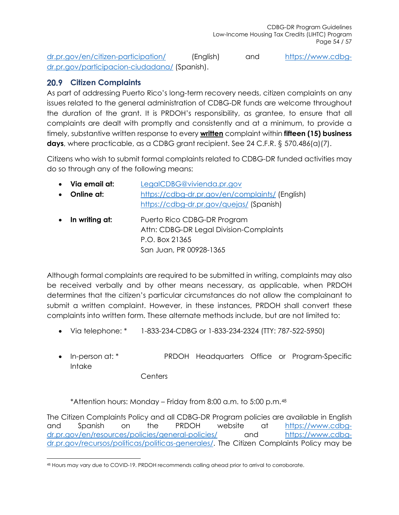[dr.pr.gov/en/citizen-participation/](https://www.cdbg-dr.pr.gov/en/citizen-participation/) (English) and [https://www.cdbg](https://www.cdbg-dr.pr.gov/participacion-ciudadana/)[dr.pr.gov/participacion-ciudadana/](https://www.cdbg-dr.pr.gov/participacion-ciudadana/) (Spanish).

### <span id="page-53-0"></span>**Citizen Complaints**

As part of addressing Puerto Rico's long-term recovery needs, citizen complaints on any issues related to the general administration of CDBG-DR funds are welcome throughout the duration of the grant. It is PRDOH's responsibility, as grantee, to ensure that all complaints are dealt with promptly and consistently and at a minimum, to provide a timely, substantive written response to every **written** complaint within **fifteen (15) business days**, where practicable, as a CDBG grant recipient. See 24 C.F.R. § 570.486(a)(7).

Citizens who wish to submit formal complaints related to CDBG-DR funded activities may do so through any of the following means:

| $\bullet$<br>$\bullet$ | Via email at:<br>Online at: | LegalCDBG@vivienda.pr.gov<br>https://cdbg-dr.pr.gov/en/complaints/ (English)<br>https://cdbg-dr.pr.gov/quejas/ (Spanish) |
|------------------------|-----------------------------|--------------------------------------------------------------------------------------------------------------------------|
| $\bullet$              | In writing at:              | Puerto Rico CDBG-DR Program<br>Attn: CDBG-DR Legal Division-Complaints<br>P.O. Box 21365<br>San Juan, PR 00928-1365      |

Although formal complaints are required to be submitted in writing, complaints may also be received verbally and by other means necessary, as applicable, when PRDOH determines that the citizen's particular circumstances do not allow the complainant to submit a written complaint. However, in these instances, PRDOH shall convert these complaints into written form. These alternate methods include, but are not limited to:

- Via telephone: \* 1-833-234-CDBG or 1-833-234-2324 (TTY: 787-522-5950)
- In-person at: \* TREPOH Headquarters Office or Program-Specific Intake

**Centers** 

\*Attention hours: Monday – Friday from 8:00 a.m. to 5:00 p.m.[48](#page-53-1)

The Citizen Complaints Policy and all CDBG-DR Program policies are available in English and Spanish on the PRDOH website at [https://www.cdbg](https://www.cdbg-dr.pr.gov/en/resources/policies/general-policies/)[dr.pr.gov/en/resources/policies/general-policies/](https://www.cdbg-dr.pr.gov/en/resources/policies/general-policies/) and [https://www.cdbg](https://www.cdbg-dr.pr.gov/recursos/politicas/politicas-generales/)[dr.pr.gov/recursos/politicas/politicas-generales/.](https://www.cdbg-dr.pr.gov/recursos/politicas/politicas-generales/) The Citizen Complaints Policy may be

<span id="page-53-1"></span><sup>48</sup> Hours may vary due to COVID-19. PRDOH recommends calling ahead prior to arrival to corroborate.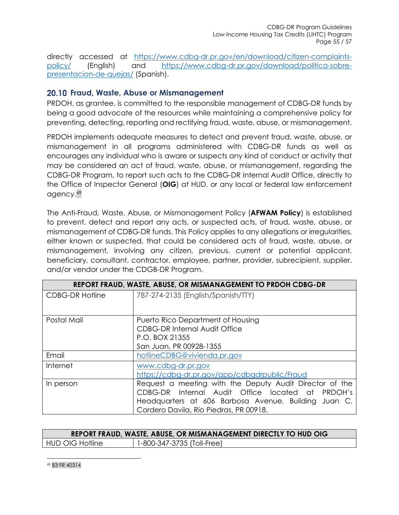directly accessed at [https://www.cdbg-dr.pr.gov/en/download/citizen-complaints](https://www.cdbg-dr.pr.gov/en/download/citizen-complaints-policy/)[policy/](https://www.cdbg-dr.pr.gov/en/download/citizen-complaints-policy/) (English) and [https://www.cdbg-dr.pr.gov/download/politica-sobre](https://www.cdbg-dr.pr.gov/download/politica-sobre-presentacion-de-quejas/)[presentacion-de-quejas/](https://www.cdbg-dr.pr.gov/download/politica-sobre-presentacion-de-quejas/) (Spanish).

#### <span id="page-54-0"></span>**Fraud, Waste, Abuse or Mismanagement**

PRDOH, as grantee, is committed to the responsible management of CDBG-DR funds by being a good advocate of the resources while maintaining a comprehensive policy for preventing, detecting, reporting and rectifying fraud, waste, abuse, or mismanagement.

PRDOH implements adequate measures to detect and prevent fraud, waste, abuse, or mismanagement in all programs administered with CDBG-DR funds as well as encourages any individual who is aware or suspects any kind of conduct or activity that may be considered an act of fraud, waste, abuse, or mismanagement, regarding the CDBG-DR Program, to report such acts to the CDBG-DR Internal Audit Office, directly to the Office of Inspector General (**OIG**) at HUD, or any local or federal law enforcement agency.[49](#page-54-1)

The Anti-Fraud, Waste, Abuse, or Mismanagement Policy (**AFWAM Policy**) is established to prevent, detect and report any acts, or suspected acts, of fraud, waste, abuse, or mismanagement of CDBG-DR funds. This Policy applies to any allegations or irregularities, either known or suspected, that could be considered acts of fraud, waste, abuse, or mismanagement, involving any citizen, previous, current or potential applicant, beneficiary, consultant, contractor, employee, partner, provider, subrecipient, supplier, and/or vendor under the CDGB-DR Program.

| REPORT FRAUD, WASTE, ABUSE, OR MISMANAGEMENT TO PRDOH CDBG-DR |                                                                                                                                                                                                               |  |
|---------------------------------------------------------------|---------------------------------------------------------------------------------------------------------------------------------------------------------------------------------------------------------------|--|
| <b>CDBG-DR Hotline</b>                                        | 787-274-2135 (English/Spanish/TTY)                                                                                                                                                                            |  |
| Postal Mail                                                   | Puerto Rico Department of Housing<br><b>CDBG-DR Internal Audit Office</b><br>P.O. BOX 21355<br>San Juan, PR 00928-1355                                                                                        |  |
| Email                                                         | hotlineCDBG@vivienda.pr.gov                                                                                                                                                                                   |  |
| Internet                                                      | www.cdbg-dr.pr.gov<br>https://cdbg-dr.pr.gov/app/cdbgdrpublic/Fraud                                                                                                                                           |  |
| In person                                                     | Request a meeting with the Deputy Audit Director of the<br>CDBG-DR Internal Audit Office located at PRDOH's<br>Headquarters at 606 Barbosa Avenue, Building Juan C.<br>Cordero Davila, Río Piedras, PR 00918. |  |

<span id="page-54-1"></span>

| REPORT FRAUD, WASTE, ABUSE, OR MISMANAGEMENT DIRECTLY TO HUD OIG |                            |  |
|------------------------------------------------------------------|----------------------------|--|
| <b>HUD OIG Hotline</b>                                           | 1-800-347-3735 (Toll-Free) |  |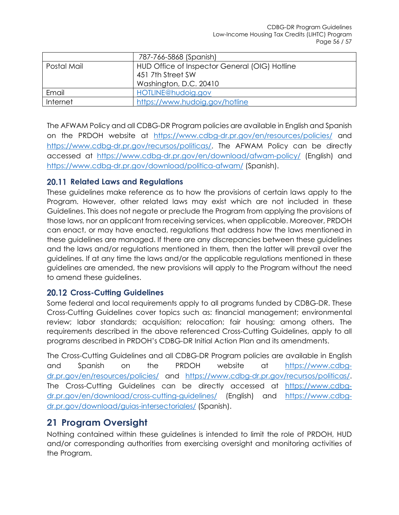|             | 787-766-5868 (Spanish)                        |
|-------------|-----------------------------------------------|
| Postal Mail | HUD Office of Inspector General (OIG) Hotline |
|             | 451 7th Street SW                             |
|             | Washington, D.C. 20410                        |
| Email       | HOTLINE@hudoig.gov                            |
| Internet    | https://www.hudoig.gov/hotline                |

The AFWAM Policy and all CDBG-DR Program policies are available in English and Spanish on the PRDOH website at <https://www.cdbg-dr.pr.gov/en/resources/policies/> and [https://www.cdbg-dr.pr.gov/recursos/politicas/.](https://www.cdbg-dr.pr.gov/recursos/politicas/) The AFWAM Policy can be directly accessed at <https://www.cdbg-dr.pr.gov/en/download/afwam-policy/> (English) and <https://www.cdbg-dr.pr.gov/download/politica-afwam/> (Spanish).

### <span id="page-55-0"></span>**20.11 Related Laws and Regulations**

These guidelines make reference as to how the provisions of certain laws apply to the Program. However, other related laws may exist which are not included in these Guidelines. This does not negate or preclude the Program from applying the provisions of those laws, nor an applicant from receiving services, when applicable. Moreover, PRDOH can enact, or may have enacted, regulations that address how the laws mentioned in these guidelines are managed. If there are any discrepancies between these guidelines and the laws and/or regulations mentioned in them, then the latter will prevail over the guidelines. If at any time the laws and/or the applicable regulations mentioned in these guidelines are amended, the new provisions will apply to the Program without the need to amend these guidelines.

## <span id="page-55-1"></span>**20.12 Cross-Cutting Guidelines**

Some federal and local requirements apply to all programs funded by CDBG-DR. These Cross-Cutting Guidelines cover topics such as: financial management; environmental review; labor standards; acquisition; relocation; fair housing; among others. The requirements described in the above referenced Cross-Cutting Guidelines, apply to all programs described in PRDOH's CDBG-DR Initial Action Plan and its amendments.

The Cross-Cutting Guidelines and all CDBG-DR Program policies are available in English and Spanish on the PRDOH website at [https://www.cdbg](https://www.cdbg-dr.pr.gov/en/resources/policies/)[dr.pr.gov/en/resources/policies/](https://www.cdbg-dr.pr.gov/en/resources/policies/) and [https://www.cdbg-dr.pr.gov/recursos/politicas/.](https://www.cdbg-dr.pr.gov/recursos/politicas/) The Cross-Cutting Guidelines can be directly accessed at [https://www.cdbg](https://www.cdbg-dr.pr.gov/en/download/cross-cutting-guidelines/)[dr.pr.gov/en/download/cross-cutting-guidelines/](https://www.cdbg-dr.pr.gov/en/download/cross-cutting-guidelines/) (English) and [https://www.cdbg](https://www.cdbg-dr.pr.gov/download/guias-intersectoriales/)[dr.pr.gov/download/guias-intersectoriales/](https://www.cdbg-dr.pr.gov/download/guias-intersectoriales/) (Spanish).

# <span id="page-55-2"></span>**21 Program Oversight**

Nothing contained within these guidelines is intended to limit the role of PRDOH, HUD and/or corresponding authorities from exercising oversight and monitoring activities of the Program.